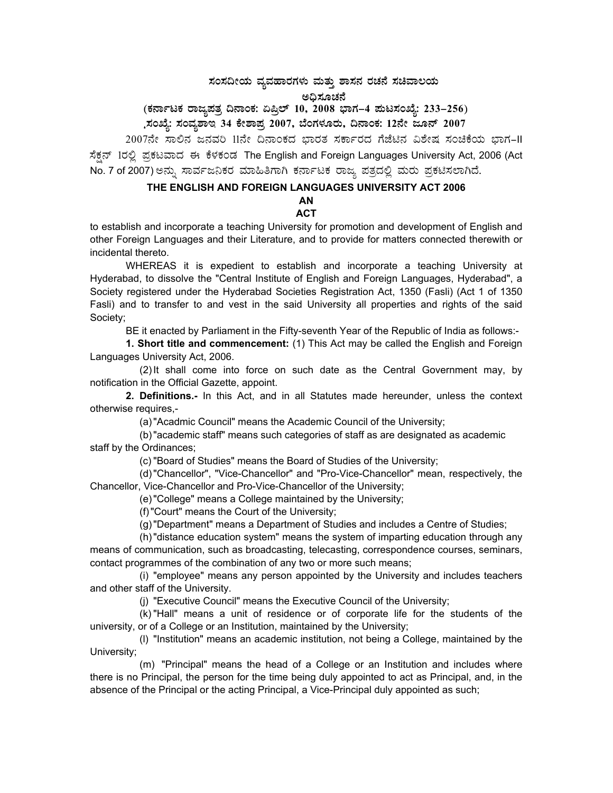# $\pi$ ನಂಸದೀಯ ವ್ಯವಹಾರಗಳು ಮತ್ತು ಶಾಸನ ರಚನೆ ಸಚಿವಾಲಯ

# ಅಧಿಸೂಚನೆ<br>————————————————————

## (ಕರ್ನಾಟಕ ರಾಜ್ಯಪತ್ರ ದಿನಾಂಕ: ಏಪ್ರಿಲ್ 10, 2008 ಭಾಗ–4 **ಪುಟಸಂಖ್ಯೆ: 233–256**)

# ಸಂಖ್ಯೆ: ಸಂವ್ಯಶಾಇ 34 ಕೇಶಾಪ್ರ 2007, ಬೆಂಗಳೂರು, ದಿನಾಂಕ: 12ನೇ ಜೂನ್ 2007

2007ನೇ ಸಾಲಿನ ಜನವರಿ 11ನೇ ದಿನಾಂಕದ ಭಾರತ ಸರ್ಕಾರದ ಗೆಜೆಟಿನ ವಿಶೇಷ ಸಂಚಿಕೆಯ ಭಾಗ-II ಸೆಕ್ಷನ್ 1ರಲ್ಲಿ ಪ್ರಕಟವಾದ ಈ ಕೆಳಕಂಡ The English and Foreign Languages University Act, 2006 (Act No. 7 of 2007) ಅನ್ನು ಸಾರ್ವಜನಿಕರ ಮಾಹಿತಿಗಾಗಿ ಕರ್ನಾಟಕ ರಾಜ್ಯ ಪತ್ರದಲ್ಲಿ ಮರು ಪ್ರಕಟಿಸಲಾಗಿದೆ.

## **THE ENGLISH AND FOREIGN LANGUAGES UNIVERSITY ACT 2006**

#### **AN ACT**

to establish and incorporate a teaching University for promotion and development of English and other Foreign Languages and their Literature, and to provide for matters connected therewith or incidental thereto.

 WHEREAS it is expedient to establish and incorporate a teaching University at Hyderabad, to dissolve the "Central Institute of English and Foreign Languages, Hyderabad", a Society registered under the Hyderabad Societies Registration Act, 1350 (Fasli) (Act 1 of 1350 Fasli) and to transfer to and vest in the said University all properties and rights of the said Society;

BE it enacted by Parliament in the Fifty-seventh Year of the Republic of India as follows:-

**1. Short title and commencement:** (1) This Act may be called the English and Foreign Languages University Act, 2006.

 (2) It shall come into force on such date as the Central Government may, by notification in the Official Gazette, appoint.

**2. Definitions.-** In this Act, and in all Statutes made hereunder, unless the context otherwise requires,-

(a) "Acadmic Council" means the Academic Council of the University;

 (b) "academic staff" means such categories of staff as are designated as academic staff by the Ordinances;

(c) "Board of Studies" means the Board of Studies of the University;

 (d) "Chancellor", "Vice-Chancellor" and "Pro-Vice-Chancellor" mean, respectively, the Chancellor, Vice-Chancellor and Pro-Vice-Chancellor of the University;

(e) "College" means a College maintained by the University;

(f) "Court" means the Court of the University;

(g) "Department" means a Department of Studies and includes a Centre of Studies;

 (h) "distance education system" means the system of imparting education through any means of communication, such as broadcasting, telecasting, correspondence courses, seminars, contact programmes of the combination of any two or more such means;

 (i) "employee" means any person appointed by the University and includes teachers and other staff of the University.

(j) "Executive Council" means the Executive Council of the University;

 (k) "Hall" means a unit of residence or of corporate life for the students of the university, or of a College or an Institution, maintained by the University;

 (l) "Institution" means an academic institution, not being a College, maintained by the University;

 (m) "Principal" means the head of a College or an Institution and includes where there is no Principal, the person for the time being duly appointed to act as Principal, and, in the absence of the Principal or the acting Principal, a Vice-Principal duly appointed as such;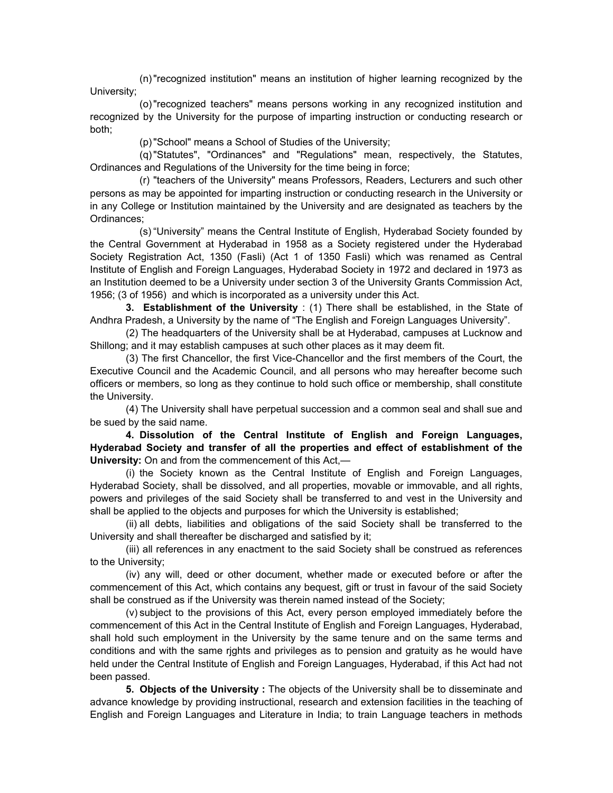(n) "recognized institution" means an institution of higher learning recognized by the University;

 (o) "recognized teachers" means persons working in any recognized institution and recognized by the University for the purpose of imparting instruction or conducting research or both;

(p) "School" means a School of Studies of the University;

 (q) "Statutes", "Ordinances" and "Regulations" mean, respectively, the Statutes, Ordinances and Regulations of the University for the time being in force;

 (r) "teachers of the University" means Professors, Readers, Lecturers and such other persons as may be appointed for imparting instruction or conducting research in the University or in any College or Institution maintained by the University and are designated as teachers by the Ordinances;

 (s) "University" means the Central Institute of English, Hyderabad Society founded by the Central Government at Hyderabad in 1958 as a Society registered under the Hyderabad Society Registration Act, 1350 (Fasli) (Act 1 of 1350 Fasli) which was renamed as Central Institute of English and Foreign Languages, Hyderabad Society in 1972 and declared in 1973 as an Institution deemed to be a University under section 3 of the University Grants Commission Act, 1956; (3 of 1956) and which is incorporated as a university under this Act.

 **3. Establishment of the University** : (1) There shall be established, in the State of Andhra Pradesh, a University by the name of "The English and Foreign Languages University".

 (2) The headquarters of the University shall be at Hyderabad, campuses at Lucknow and Shillong; and it may establish campuses at such other places as it may deem fit.

 (3) The first Chancellor, the first Vice-Chancellor and the first members of the Court, the Executive Council and the Academic Council, and all persons who may hereafter become such officers or members, so long as they continue to hold such office or membership, shall constitute the University.

 (4) The University shall have perpetual succession and a common seal and shall sue and be sued by the said name.

 **4. Dissolution of the Central Institute of English and Foreign Languages, Hyderabad Society and transfer of all the properties and effect of establishment of the University:** On and from the commencement of this Act,—

 (i) the Society known as the Central Institute of English and Foreign Languages, Hyderabad Society, shall be dissolved, and all properties, movable or immovable, and all rights, powers and privileges of the said Society shall be transferred to and vest in the University and shall be applied to the objects and purposes for which the University is established;

(ii) all debts, liabilities and obligations of the said Society shall be transferred to the University and shall thereafter be discharged and satisfied by it;

 (iii) all references in any enactment to the said Society shall be construed as references to the University;

 (iv) any will, deed or other document, whether made or executed before or after the commencement of this Act, which contains any bequest, gift or trust in favour of the said Society shall be construed as if the University was therein named instead of the Society;

 (v) subject to the provisions of this Act, every person employed immediately before the commencement of this Act in the Central Institute of English and Foreign Languages, Hyderabad, shall hold such employment in the University by the same tenure and on the same terms and conditions and with the same rjghts and privileges as to pension and gratuity as he would have held under the Central Institute of English and Foreign Languages, Hyderabad, if this Act had not been passed.

 **5. Objects of the University :** The objects of the University shall be to disseminate and advance knowledge by providing instructional, research and extension facilities in the teaching of English and Foreign Languages and Literature in India; to train Language teachers in methods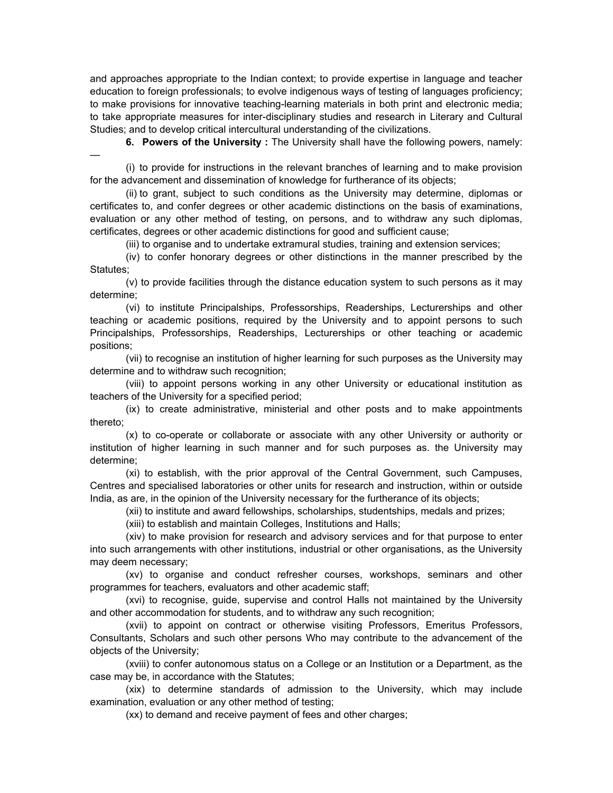and approaches appropriate to the Indian context; to provide expertise in language and teacher education to foreign professionals; to evolve indigenous ways of testing of languages proficiency; to make provisions for innovative teaching-learning materials in both print and electronic media; to take appropriate measures for inter-disciplinary studies and research in Literary and Cultural Studies; and to develop critical intercultural understanding of the civilizations.

**6. Powers of the University**: The University shall have the following powers, namely:

 (i) to provide for instructions in the relevant branches of learning and to make provision for the advancement and dissemination of knowledge for furtherance of its objects;

—

 (ii) to grant, subject to such conditions as the University may determine, diplomas or certificates to, and confer degrees or other academic distinctions on the basis of examinations, evaluation or any other method of testing, on persons, and to withdraw any such diplomas, certificates, degrees or other academic distinctions for good and sufficient cause;

(iii) to organise and to undertake extramural studies, training and extension services;

 (iv) to confer honorary degrees or other distinctions in the manner prescribed by the Statutes;

 (v) to provide facilities through the distance education system to such persons as it may determine;

 (vi) to institute Principalships, Professorships, Readerships, Lecturerships and other teaching or academic positions, required by the University and to appoint persons to such Principalships, Professorships, Readerships, Lecturerships or other teaching or academic positions;

 (vii) to recognise an institution of higher learning for such purposes as the University may determine and to withdraw such recognition;

 (viii) to appoint persons working in any other University or educational institution as teachers of the University for a specified period;

 (ix) to create administrative, ministerial and other posts and to make appointments thereto;

 (x) to co-operate or collaborate or associate with any other University or authority or institution of higher learning in such manner and for such purposes as. the University may determine;

 (xi) to establish, with the prior approval of the Central Government, such Campuses, Centres and specialised laboratories or other units for research and instruction, within or outside India, as are, in the opinion of the University necessary for the furtherance of its objects;

(xii) to institute and award fellowships, scholarships, studentships, medals and prizes;

(xiii) to establish and maintain Colleges, Institutions and Halls;

 (xiv) to make provision for research and advisory services and for that purpose to enter into such arrangements with other institutions, industrial or other organisations, as the University may deem necessary;

 (xv) to organise and conduct refresher courses, workshops, seminars and other programmes for teachers, evaluators and other academic staff;

 (xvi) to recognise, guide, supervise and control Halls not maintained by the University and other accommodation for students, and to withdraw any such recognition;

 (xvii) to appoint on contract or otherwise visiting Professors, Emeritus Professors, Consultants, Scholars and such other persons Who may contribute to the advancement of the objects of the University;

 (xviii) to confer autonomous status on a College or an Institution or a Department, as the case may be, in accordance with the Statutes;

 (xix) to determine standards of admission to the University, which may include examination, evaluation or any other method of testing;

(xx) to demand and receive payment of fees and other charges;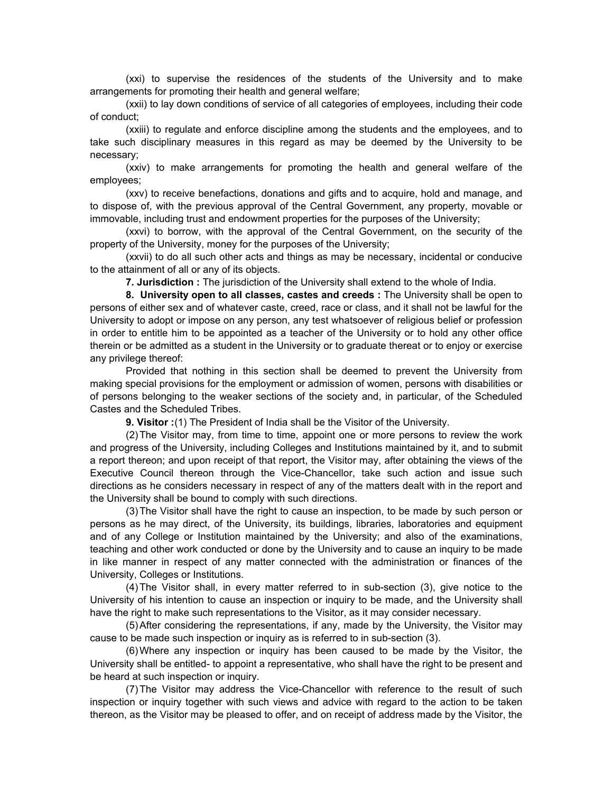(xxi) to supervise the residences of the students of the University and to make arrangements for promoting their health and general welfare;

 (xxii) to lay down conditions of service of all categories of employees, including their code of conduct;

 (xxiii) to regulate and enforce discipline among the students and the employees, and to take such disciplinary measures in this regard as may be deemed by the University to be necessary;

 (xxiv) to make arrangements for promoting the health and general welfare of the employees;

 (xxv) to receive benefactions, donations and gifts and to acquire, hold and manage, and to dispose of, with the previous approval of the Central Government, any property, movable or immovable, including trust and endowment properties for the purposes of the University;

 (xxvi) to borrow, with the approval of the Central Government, on the security of the property of the University, money for the purposes of the University;

 (xxvii) to do all such other acts and things as may be necessary, incidental or conducive to the attainment of all or any of its objects.

**7. Jurisdiction :** The jurisdiction of the University shall extend to the whole of India.

 **8. University open to all classes, castes and creeds :** The University shall be open to persons of either sex and of whatever caste, creed, race or class, and it shall not be lawful for the University to adopt or impose on any person, any test whatsoever of religious belief or profession in order to entitle him to be appointed as a teacher of the University or to hold any other office therein or be admitted as a student in the University or to graduate thereat or to enjoy or exercise any privilege thereof:

 Provided that nothing in this section shall be deemed to prevent the University from making special provisions for the employment or admission of women, persons with disabilities or of persons belonging to the weaker sections of the society and, in particular, of the Scheduled Castes and the Scheduled Tribes.

 **9. Visitor :** (1) The President of India shall be the Visitor of the University.

 (2) The Visitor may, from time to time, appoint one or more persons to review the work and progress of the University, including Colleges and Institutions maintained by it, and to submit a report thereon; and upon receipt of that report, the Visitor may, after obtaining the views of the Executive Council thereon through the Vice-Chancellor, take such action and issue such directions as he considers necessary in respect of any of the matters dealt with in the report and the University shall be bound to comply with such directions.

 (3) The Visitor shall have the right to cause an inspection, to be made by such person or persons as he may direct, of the University, its buildings, libraries, laboratories and equipment and of any College or Institution maintained by the University; and also of the examinations, teaching and other work conducted or done by the University and to cause an inquiry to be made in like manner in respect of any matter connected with the administration or finances of the University, Colleges or Institutions.

 (4) The Visitor shall, in every matter referred to in sub-section (3), give notice to the University of his intention to cause an inspection or inquiry to be made, and the University shall have the right to make such representations to the Visitor, as it may consider necessary.

 (5) After considering the representations, if any, made by the University, the Visitor may cause to be made such inspection or inquiry as is referred to in sub-section (3).

 (6) Where any inspection or inquiry has been caused to be made by the Visitor, the University shall be entitled- to appoint a representative, who shall have the right to be present and be heard at such inspection or inquiry.

 (7) The Visitor may address the Vice-Chancellor with reference to the result of such inspection or inquiry together with such views and advice with regard to the action to be taken thereon, as the Visitor may be pleased to offer, and on receipt of address made by the Visitor, the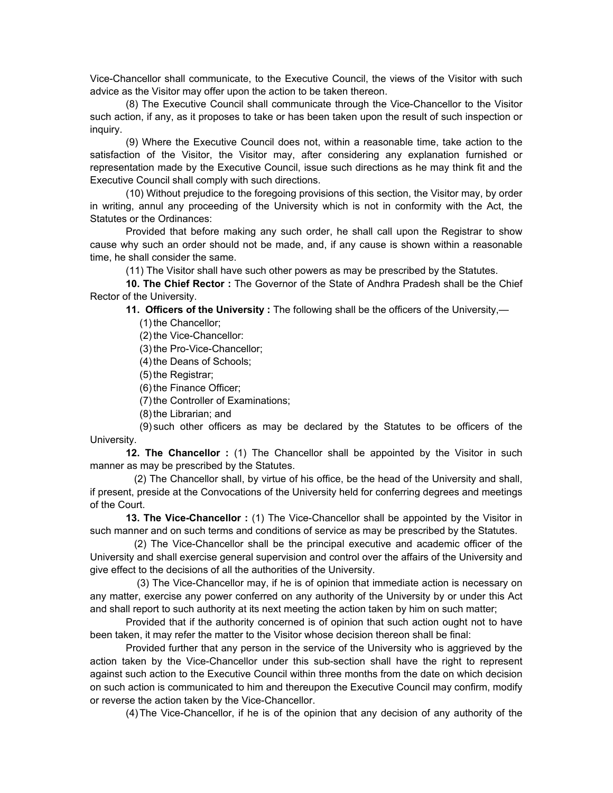Vice-Chancellor shall communicate, to the Executive Council, the views of the Visitor with such advice as the Visitor may offer upon the action to be taken thereon.

 (8) The Executive Council shall communicate through the Vice-Chancellor to the Visitor such action, if any, as it proposes to take or has been taken upon the result of such inspection or inquiry.

 (9) Where the Executive Council does not, within a reasonable time, take action to the satisfaction of the Visitor, the Visitor may, after considering any explanation furnished or representation made by the Executive Council, issue such directions as he may think fit and the Executive Council shall comply with such directions.

 (10) Without prejudice to the foregoing provisions of this section, the Visitor may, by order in writing, annul any proceeding of the University which is not in conformity with the Act, the Statutes or the Ordinances:

 Provided that before making any such order, he shall call upon the Registrar to show cause why such an order should not be made, and, if any cause is shown within a reasonable time, he shall consider the same.

(11) The Visitor shall have such other powers as may be prescribed by the Statutes.

 **10. The Chief Rector :** The Governor of the State of Andhra Pradesh shall be the Chief Rector of the University.

 **11. Officers of the University :** The following shall be the officers of the University,—

(1) the Chancellor;

(2) the Vice-Chancellor:

(3) the Pro-Vice-Chancellor;

(4) the Deans of Schools;

(5) the Registrar;

(6) the Finance Officer;

(7) the Controller of Examinations;

(8) the Librarian; and

 (9) such other officers as may be declared by the Statutes to be officers of the University.

**12. The Chancellor** : (1) The Chancellor shall be appointed by the Visitor in such manner as may be prescribed by the Statutes.

 (2) The Chancellor shall, by virtue of his office, be the head of the University and shall, if present, preside at the Convocations of the University held for conferring degrees and meetings of the Court.

 **13. The Vice-Chancellor :** (1) The Vice-Chancellor shall be appointed by the Visitor in such manner and on such terms and conditions of service as may be prescribed by the Statutes.

 (2) The Vice-Chancellor shall be the principal executive and academic officer of the University and shall exercise general supervision and control over the affairs of the University and give effect to the decisions of all the authorities of the University.

 (3) The Vice-Chancellor may, if he is of opinion that immediate action is necessary on any matter, exercise any power conferred on any authority of the University by or under this Act and shall report to such authority at its next meeting the action taken by him on such matter;

 Provided that if the authority concerned is of opinion that such action ought not to have been taken, it may refer the matter to the Visitor whose decision thereon shall be final:

 Provided further that any person in the service of the University who is aggrieved by the action taken by the Vice-Chancellor under this sub-section shall have the right to represent against such action to the Executive Council within three months from the date on which decision on such action is communicated to him and thereupon the Executive Council may confirm, modify or reverse the action taken by the Vice-Chancellor.

(4) The Vice-Chancellor, if he is of the opinion that any decision of any authority of the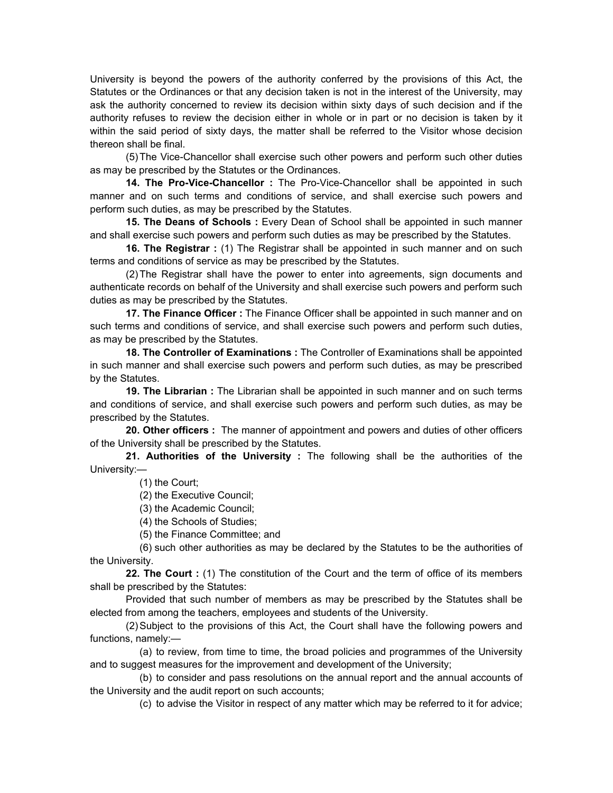University is beyond the powers of the authority conferred by the provisions of this Act, the Statutes or the Ordinances or that any decision taken is not in the interest of the University, may ask the authority concerned to review its decision within sixty days of such decision and if the authority refuses to review the decision either in whole or in part or no decision is taken by it within the said period of sixty days, the matter shall be referred to the Visitor whose decision thereon shall be final.

 (5) The Vice-Chancellor shall exercise such other powers and perform such other duties as may be prescribed by the Statutes or the Ordinances.

 **14. The Pro-Vice-Chancellor :** The Pro-Vice-Chancellor shall be appointed in such manner and on such terms and conditions of service, and shall exercise such powers and perform such duties, as may be prescribed by the Statutes.

 **15. The Deans of Schools :** Every Dean of School shall be appointed in such manner and shall exercise such powers and perform such duties as may be prescribed by the Statutes.

**16. The Registrar** : (1) The Registrar shall be appointed in such manner and on such terms and conditions of service as may be prescribed by the Statutes.

 (2) The Registrar shall have the power to enter into agreements, sign documents and authenticate records on behalf of the University and shall exercise such powers and perform such duties as may be prescribed by the Statutes.

 **17. The Finance Officer :** The Finance Officer shall be appointed in such manner and on such terms and conditions of service, and shall exercise such powers and perform such duties, as may be prescribed by the Statutes.

 **18. The Controller of Examinations :** The Controller of Examinations shall be appointed in such manner and shall exercise such powers and perform such duties, as may be prescribed by the Statutes.

 **19. The Librarian :** The Librarian shall be appointed in such manner and on such terms and conditions of service, and shall exercise such powers and perform such duties, as may be prescribed by the Statutes.

 **20. Other officers :** The manner of appointment and powers and duties of other officers of the University shall be prescribed by the Statutes.

 **21. Authorities of the University :** The following shall be the authorities of the University:—

(1) the Court;

(2) the Executive Council;

(3) the Academic Council;

(4) the Schools of Studies;

(5) the Finance Committee; and

 (6) such other authorities as may be declared by the Statutes to be the authorities of the University.

 **22. The Court :** (1) The constitution of the Court and the term of office of its members shall be prescribed by the Statutes:

 Provided that such number of members as may be prescribed by the Statutes shall be elected from among the teachers, employees and students of the University.

 (2) Subject to the provisions of this Act, the Court shall have the following powers and functions, namely:—

 (a) to review, from time to time, the broad policies and programmes of the University and to suggest measures for the improvement and development of the University;

 (b) to consider and pass resolutions on the annual report and the annual accounts of the University and the audit report on such accounts;

(c) to advise the Visitor in respect of any matter which may be referred to it for advice;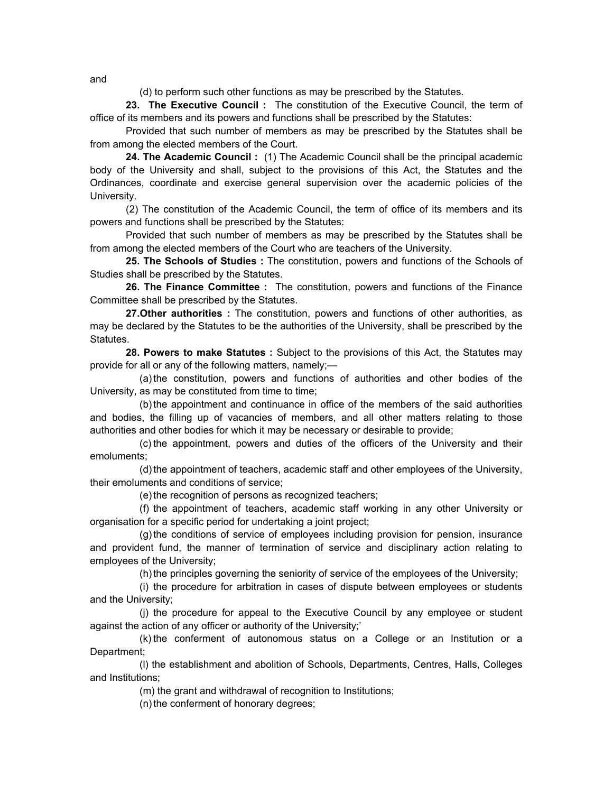(d) to perform such other functions as may be prescribed by the Statutes.

 **23. The Executive Council :** The constitution of the Executive Council, the term of office of its members and its powers and functions shall be prescribed by the Statutes:

 Provided that such number of members as may be prescribed by the Statutes shall be from among the elected members of the Court.

 **24. The Academic Council :** (1) The Academic Council shall be the principal academic body of the University and shall, subject to the provisions of this Act, the Statutes and the Ordinances, coordinate and exercise general supervision over the academic policies of the University.

 (2) The constitution of the Academic Council, the term of office of its members and its powers and functions shall be prescribed by the Statutes:

 Provided that such number of members as may be prescribed by the Statutes shall be from among the elected members of the Court who are teachers of the University.

 **25. The Schools of Studies :** The constitution, powers and functions of the Schools of Studies shall be prescribed by the Statutes.

 **26. The Finance Committee :** The constitution, powers and functions of the Finance Committee shall be prescribed by the Statutes.

 **27.Other authorities :** The constitution, powers and functions of other authorities, as may be declared by the Statutes to be the authorities of the University, shall be prescribed by the **Statutes** 

 **28. Powers to make Statutes :** Subject to the provisions of this Act, the Statutes may provide for all or any of the following matters, namely;—

 (a) the constitution, powers and functions of authorities and other bodies of the University, as may be constituted from time to time;

 (b) the appointment and continuance in office of the members of the said authorities and bodies, the filling up of vacancies of members, and all other matters relating to those authorities and other bodies for which it may be necessary or desirable to provide;

 (c) the appointment, powers and duties of the officers of the University and their emoluments;

 (d) the appointment of teachers, academic staff and other employees of the University, their emoluments and conditions of service;

(e) the recognition of persons as recognized teachers;

 (f) the appointment of teachers, academic staff working in any other University or organisation for a specific period for undertaking a joint project;

 (g) the conditions of service of employees including provision for pension, insurance and provident fund, the manner of termination of service and disciplinary action relating to employees of the University;

(h) the principles governing the seniority of service of the employees of the University;

 (i) the procedure for arbitration in cases of dispute between employees or students and the University;

 (j) the procedure for appeal to the Executive Council by any employee or student against the action of any officer or authority of the University;'

 (k) the conferment of autonomous status on a College or an Institution or a Department;

 (l) the establishment and abolition of Schools, Departments, Centres, Halls, Colleges and Institutions;

(m) the grant and withdrawal of recognition to Institutions;

(n) the conferment of honorary degrees;

and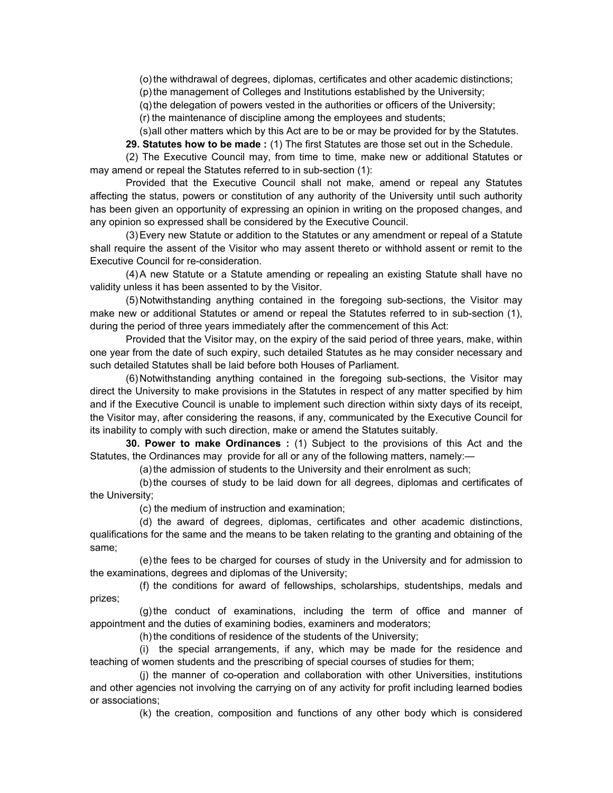(o) the withdrawal of degrees, diplomas, certificates and other academic distinctions;

(p) the management of Colleges and Institutions established by the University;

(q) the delegation of powers vested in the authorities or officers of the University;

(r) the maintenance of discipline among the employees and students;

(s) all other matters which by this Act are to be or may be provided for by the Statutes.

 **29. Statutes how to be made :** (1) The first Statutes are those set out in the Schedule.

 (2) The Executive Council may, from time to time, make new or additional Statutes or may amend or repeal the Statutes referred to in sub-section (1):

 Provided that the Executive Council shall not make, amend or repeal any Statutes affecting the status, powers or constitution of any authority of the University until such authority has been given an opportunity of expressing an opinion in writing on the proposed changes, and any opinion so expressed shall be considered by the Executive Council.

 (3) Every new Statute or addition to the Statutes or any amendment or repeal of a Statute shall require the assent of the Visitor who may assent thereto or withhold assent or remit to the Executive Council for re-consideration.

 (4) A new Statute or a Statute amending or repealing an existing Statute shall have no validity unless it has been assented to by the Visitor.

(5) Notwithstanding anything contained in the foregoing sub-sections, the Visitor may make new or additional Statutes or amend or repeal the Statutes referred to in sub-section (1), during the period of three years immediately after the commencement of this Act:

 Provided that the Visitor may, on the expiry of the said period of three years, make, within one year from the date of such expiry, such detailed Statutes as he may consider necessary and such detailed Statutes shall be laid before both Houses of Parliament.

 (6) Notwithstanding anything contained in the foregoing sub-sections, the Visitor may direct the University to make provisions in the Statutes in respect of any matter specified by him and if the Executive Council is unable to implement such direction within sixty days of its receipt, the Visitor may, after considering the reasons, if any, communicated by the Executive Council for its inability to comply with such direction, make or amend the Statutes suitably.

 **30. Power to make Ordinances :** (1) Subject to the provisions of this Act and the Statutes, the Ordinances may provide for all or any of the following matters, namely:—

(a) the admission of students to the University and their enrolment as such;

 (b) the courses of study to be laid down for all degrees, diplomas and certificates of the University;

(c) the medium of instruction and examination;

 (d) the award of degrees, diplomas, certificates and other academic distinctions, qualifications for the same and the means to be taken relating to the granting and obtaining of the same;

 (e) the fees to be charged for courses of study in the University and for admission to the examinations, degrees and diplomas of the University;

 (f) the conditions for award of fellowships, scholarships, studentships, medals and prizes;

 (g) the conduct of examinations, including the term of office and manner of appointment and the duties of examining bodies, examiners and moderators;

(h) the conditions of residence of the students of the University;

 (i) the special arrangements, if any, which may be made for the residence and teaching of women students and the prescribing of special courses of studies for them;

 (j) the manner of co-operation and collaboration with other Universities, institutions and other agencies not involving the carrying on of any activity for profit including learned bodies or associations;

(k) the creation, composition and functions of any other body which is considered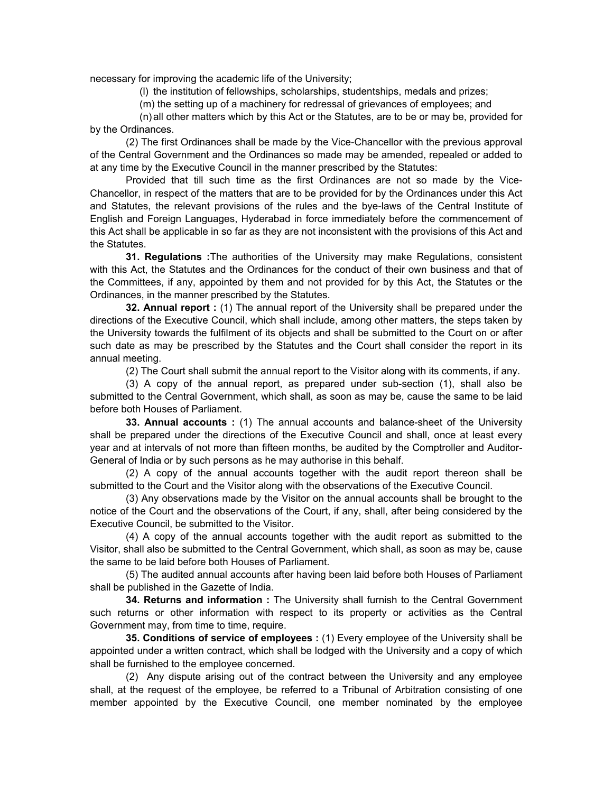necessary for improving the academic life of the University;

(l) the institution of fellowships, scholarships, studentships, medals and prizes;

(m) the setting up of a machinery for redressal of grievances of employees; and

 (n) all other matters which by this Act or the Statutes, are to be or may be, provided for by the Ordinances.

 (2) The first Ordinances shall be made by the Vice-Chancellor with the previous approval of the Central Government and the Ordinances so made may be amended, repealed or added to at any time by the Executive Council in the manner prescribed by the Statutes:

 Provided that till such time as the first Ordinances are not so made by the Vice-Chancellor, in respect of the matters that are to be provided for by the Ordinances under this Act and Statutes, the relevant provisions of the rules and the bye-laws of the Central Institute of English and Foreign Languages, Hyderabad in force immediately before the commencement of this Act shall be applicable in so far as they are not inconsistent with the provisions of this Act and the Statutes.

 **31. Regulations :**The authorities of the University may make Regulations, consistent with this Act, the Statutes and the Ordinances for the conduct of their own business and that of the Committees, if any, appointed by them and not provided for by this Act, the Statutes or the Ordinances, in the manner prescribed by the Statutes.

 **32. Annual report :** (1) The annual report of the University shall be prepared under the directions of the Executive Council, which shall include, among other matters, the steps taken by the University towards the fulfilment of its objects and shall be submitted to the Court on or after such date as may be prescribed by the Statutes and the Court shall consider the report in its annual meeting.

(2) The Court shall submit the annual report to the Visitor along with its comments, if any.

 (3) A copy of the annual report, as prepared under sub-section (1), shall also be submitted to the Central Government, which shall, as soon as may be, cause the same to be laid before both Houses of Parliament.

 **33. Annual accounts :** (1) The annual accounts and balance-sheet of the University shall be prepared under the directions of the Executive Council and shall, once at least every year and at intervals of not more than fifteen months, be audited by the Comptroller and Auditor-General of India or by such persons as he may authorise in this behalf.

 (2) A copy of the annual accounts together with the audit report thereon shall be submitted to the Court and the Visitor along with the observations of the Executive Council.

 (3) Any observations made by the Visitor on the annual accounts shall be brought to the notice of the Court and the observations of the Court, if any, shall, after being considered by the Executive Council, be submitted to the Visitor.

 (4) A copy of the annual accounts together with the audit report as submitted to the Visitor, shall also be submitted to the Central Government, which shall, as soon as may be, cause the same to be laid before both Houses of Parliament.

 (5) The audited annual accounts after having been laid before both Houses of Parliament shall be published in the Gazette of India.

 **34. Returns and information :** The University shall furnish to the Central Government such returns or other information with respect to its property or activities as the Central Government may, from time to time, require.

 **35. Conditions of service of employees :** (1) Every employee of the University shall be appointed under a written contract, which shall be lodged with the University and a copy of which shall be furnished to the employee concerned.

 (2) Any dispute arising out of the contract between the University and any employee shall, at the request of the employee, be referred to a Tribunal of Arbitration consisting of one member appointed by the Executive Council, one member nominated by the employee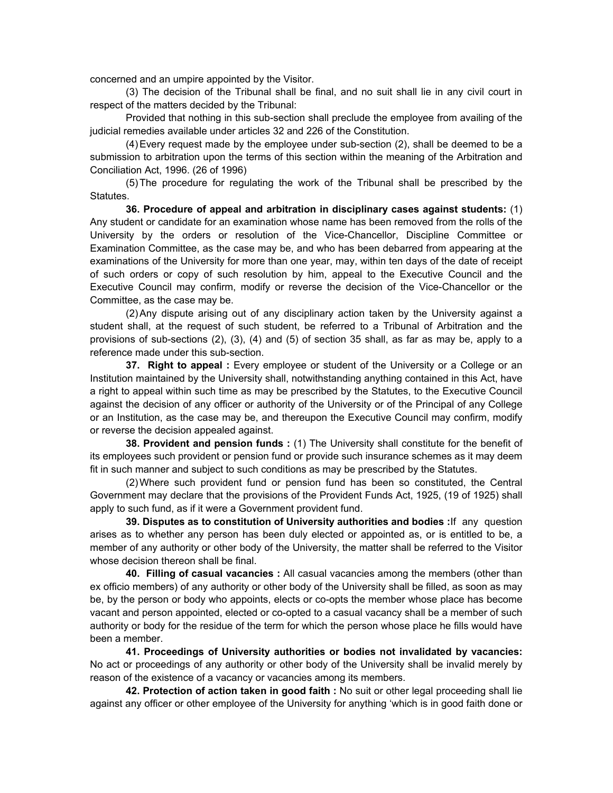concerned and an umpire appointed by the Visitor.

 (3) The decision of the Tribunal shall be final, and no suit shall lie in any civil court in respect of the matters decided by the Tribunal:

 Provided that nothing in this sub-section shall preclude the employee from availing of the judicial remedies available under articles 32 and 226 of the Constitution.

 (4) Every request made by the employee under sub-section (2), shall be deemed to be a submission to arbitration upon the terms of this section within the meaning of the Arbitration and Conciliation Act, 1996. (26 of 1996)

 (5) The procedure for regulating the work of the Tribunal shall be prescribed by the Statutes.

 **36. Procedure of appeal and arbitration in disciplinary cases against students:** (1) Any student or candidate for an examination whose name has been removed from the rolls of the University by the orders or resolution of the Vice-Chancellor, Discipline Committee or Examination Committee, as the case may be, and who has been debarred from appearing at the examinations of the University for more than one year, may, within ten days of the date of receipt of such orders or copy of such resolution by him, appeal to the Executive Council and the Executive Council may confirm, modify or reverse the decision of the Vice-Chancellor or the Committee, as the case may be.

 (2) Any dispute arising out of any disciplinary action taken by the University against a student shall, at the request of such student, be referred to a Tribunal of Arbitration and the provisions of sub-sections (2), (3), (4) and (5) of section 35 shall, as far as may be, apply to a reference made under this sub-section.

**37. Right to appeal :** Every employee or student of the University or a College or an Institution maintained by the University shall, notwithstanding anything contained in this Act, have a right to appeal within such time as may be prescribed by the Statutes, to the Executive Council against the decision of any officer or authority of the University or of the Principal of any College or an Institution, as the case may be, and thereupon the Executive Council may confirm, modify or reverse the decision appealed against.

 **38. Provident and pension funds :** (1) The University shall constitute for the benefit of its employees such provident or pension fund or provide such insurance schemes as it may deem fit in such manner and subject to such conditions as may be prescribed by the Statutes.

 (2) Where such provident fund or pension fund has been so constituted, the Central Government may declare that the provisions of the Provident Funds Act, 1925, (19 of 1925) shall apply to such fund, as if it were a Government provident fund.

 **39. Disputes as to constitution of University authorities and bodies :**If any question arises as to whether any person has been duly elected or appointed as, or is entitled to be, a member of any authority or other body of the University, the matter shall be referred to the Visitor whose decision thereon shall be final.

 **40. Filling of casual vacancies :** All casual vacancies among the members (other than ex officio members) of any authority or other body of the University shall be filled, as soon as may be, by the person or body who appoints, elects or co-opts the member whose place has become vacant and person appointed, elected or co-opted to a casual vacancy shall be a member of such authority or body for the residue of the term for which the person whose place he fills would have been a member.

 **41. Proceedings of University authorities or bodies not invalidated by vacancies:**  No act or proceedings of any authority or other body of the University shall be invalid merely by reason of the existence of a vacancy or vacancies among its members.

 **42. Protection of action taken in good faith :** No suit or other legal proceeding shall lie against any officer or other employee of the University for anything 'which is in good faith done or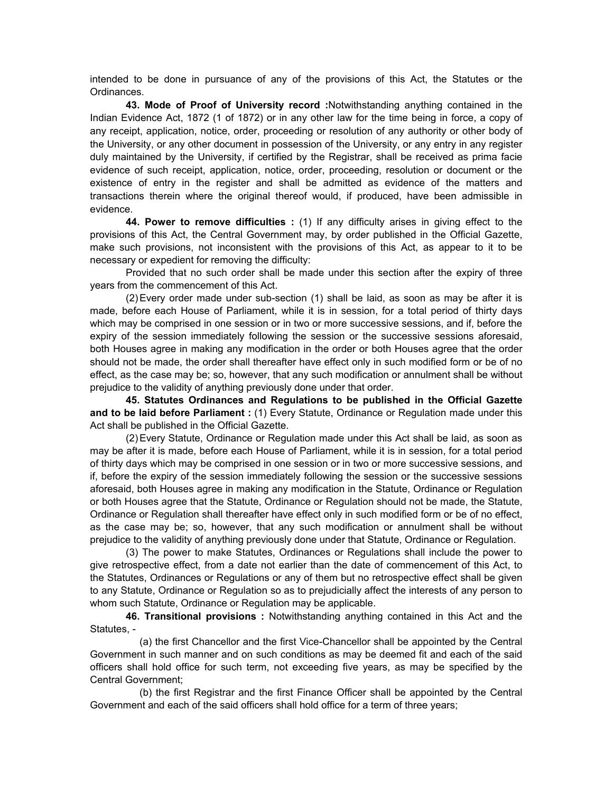intended to be done in pursuance of any of the provisions of this Act, the Statutes or the Ordinances.

 **43. Mode of Proof of University record :**Notwithstanding anything contained in the Indian Evidence Act, 1872 (1 of 1872) or in any other law for the time being in force, a copy of any receipt, application, notice, order, proceeding or resolution of any authority or other body of the University, or any other document in possession of the University, or any entry in any register duly maintained by the University, if certified by the Registrar, shall be received as prima facie evidence of such receipt, application, notice, order, proceeding, resolution or document or the existence of entry in the register and shall be admitted as evidence of the matters and transactions therein where the original thereof would, if produced, have been admissible in evidence.

 **44. Power to remove difficulties :** (1) If any difficulty arises in giving effect to the provisions of this Act, the Central Government may, by order published in the Official Gazette, make such provisions, not inconsistent with the provisions of this Act, as appear to it to be necessary or expedient for removing the difficulty:

 Provided that no such order shall be made under this section after the expiry of three years from the commencement of this Act.

 (2) Every order made under sub-section (1) shall be laid, as soon as may be after it is made, before each House of Parliament, while it is in session, for a total period of thirty days which may be comprised in one session or in two or more successive sessions, and if, before the expiry of the session immediately following the session or the successive sessions aforesaid, both Houses agree in making any modification in the order or both Houses agree that the order should not be made, the order shall thereafter have effect only in such modified form or be of no effect, as the case may be; so, however, that any such modification or annulment shall be without prejudice to the validity of anything previously done under that order.

 **45. Statutes Ordinances and Regulations to be published in the Official Gazette and to be laid before Parliament :** (1) Every Statute, Ordinance or Regulation made under this Act shall be published in the Official Gazette.

 (2) Every Statute, Ordinance or Regulation made under this Act shall be laid, as soon as may be after it is made, before each House of Parliament, while it is in session, for a total period of thirty days which may be comprised in one session or in two or more successive sessions, and if, before the expiry of the session immediately following the session or the successive sessions aforesaid, both Houses agree in making any modification in the Statute, Ordinance or Regulation or both Houses agree that the Statute, Ordinance or Regulation should not be made, the Statute, Ordinance or Regulation shall thereafter have effect only in such modified form or be of no effect, as the case may be; so, however, that any such modification or annulment shall be without prejudice to the validity of anything previously done under that Statute, Ordinance or Regulation.

 (3) The power to make Statutes, Ordinances or Regulations shall include the power to give retrospective effect, from a date not earlier than the date of commencement of this Act, to the Statutes, Ordinances or Regulations or any of them but no retrospective effect shall be given to any Statute, Ordinance or Regulation so as to prejudicially affect the interests of any person to whom such Statute, Ordinance or Regulation may be applicable.

 **46. Transitional provisions :** Notwithstanding anything contained in this Act and the Statutes, -

 (a) the first Chancellor and the first Vice-Chancellor shall be appointed by the Central Government in such manner and on such conditions as may be deemed fit and each of the said officers shall hold office for such term, not exceeding five years, as may be specified by the Central Government;

 (b) the first Registrar and the first Finance Officer shall be appointed by the Central Government and each of the said officers shall hold office for a term of three years;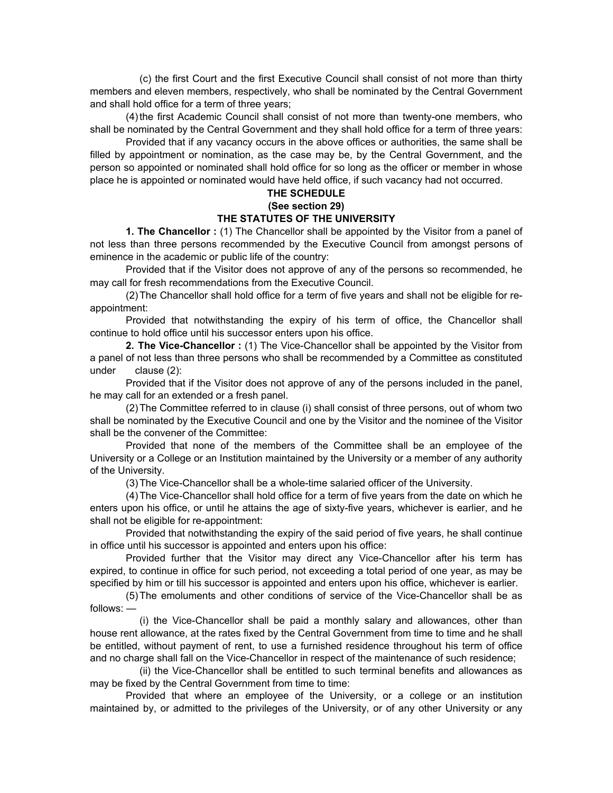(c) the first Court and the first Executive Council shall consist of not more than thirty members and eleven members, respectively, who shall be nominated by the Central Government and shall hold office for a term of three years;

 (4) the first Academic Council shall consist of not more than twenty-one members, who shall be nominated by the Central Government and they shall hold office for a term of three years:

 Provided that if any vacancy occurs in the above offices or authorities, the same shall be filled by appointment or nomination, as the case may be, by the Central Government, and the person so appointed or nominated shall hold office for so long as the officer or member in whose place he is appointed or nominated would have held office, if such vacancy had not occurred.

## **THE SCHEDULE**

## **(See section 29)**

## **THE STATUTES OF THE UNIVERSITY**

 **1. The Chancellor :** (1) The Chancellor shall be appointed by the Visitor from a panel of not less than three persons recommended by the Executive Council from amongst persons of eminence in the academic or public life of the country:

 Provided that if the Visitor does not approve of any of the persons so recommended, he may call for fresh recommendations from the Executive Council.

 (2) The Chancellor shall hold office for a term of five years and shall not be eligible for reappointment:

 Provided that notwithstanding the expiry of his term of office, the Chancellor shall continue to hold office until his successor enters upon his office.

 **2. The Vice-Chancellor :** (1) The Vice-Chancellor shall be appointed by the Visitor from a panel of not less than three persons who shall be recommended by a Committee as constituted under clause (2):

 Provided that if the Visitor does not approve of any of the persons included in the panel, he may call for an extended or a fresh panel.

 (2) The Committee referred to in clause (i) shall consist of three persons, out of whom two shall be nominated by the Executive Council and one by the Visitor and the nominee of the Visitor shall be the convener of the Committee:

 Provided that none of the members of the Committee shall be an employee of the University or a College or an Institution maintained by the University or a member of any authority of the University.

(3) The Vice-Chancellor shall be a whole-time salaried officer of the University.

 (4) The Vice-Chancellor shall hold office for a term of five years from the date on which he enters upon his office, or until he attains the age of sixty-five years, whichever is earlier, and he shall not be eligible for re-appointment:

 Provided that notwithstanding the expiry of the said period of five years, he shall continue in office until his successor is appointed and enters upon his office:

 Provided further that the Visitor may direct any Vice-Chancellor after his term has expired, to continue in office for such period, not exceeding a total period of one year, as may be specified by him or till his successor is appointed and enters upon his office, whichever is earlier.

 (5) The emoluments and other conditions of service of the Vice-Chancellor shall be as follows: —

 (i) the Vice-Chancellor shall be paid a monthly salary and allowances, other than house rent allowance, at the rates fixed by the Central Government from time to time and he shall be entitled, without payment of rent, to use a furnished residence throughout his term of office and no charge shall fall on the Vice-Chancellor in respect of the maintenance of such residence;

 (ii) the Vice-Chancellor shall be entitled to such terminal benefits and allowances as may be fixed by the Central Government from time to time:

Provided that where an employee of the University, or a college or an institution maintained by, or admitted to the privileges of the University, or of any other University or any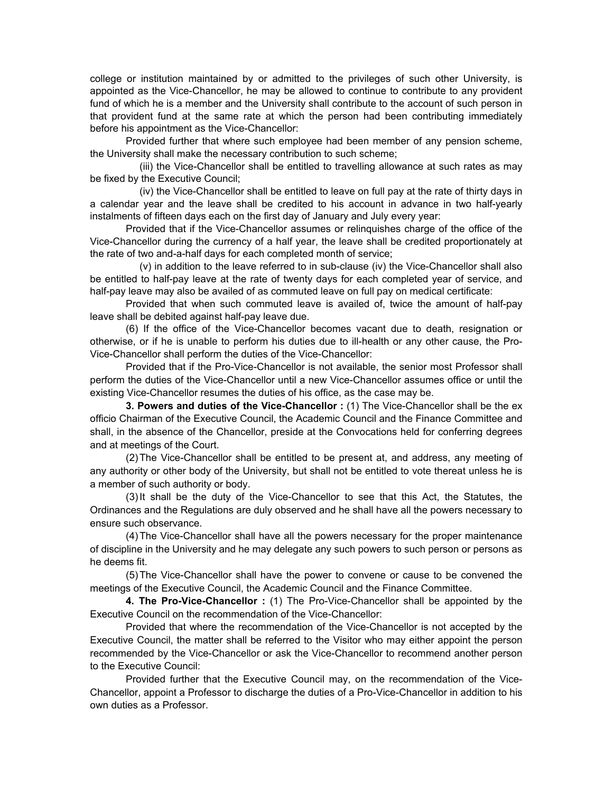college or institution maintained by or admitted to the privileges of such other University, is appointed as the Vice-Chancellor, he may be allowed to continue to contribute to any provident fund of which he is a member and the University shall contribute to the account of such person in that provident fund at the same rate at which the person had been contributing immediately before his appointment as the Vice-Chancellor:

 Provided further that where such employee had been member of any pension scheme, the University shall make the necessary contribution to such scheme;

 (iii) the Vice-Chancellor shall be entitled to travelling allowance at such rates as may be fixed by the Executive Council;

 (iv) the Vice-Chancellor shall be entitled to leave on full pay at the rate of thirty days in a calendar year and the leave shall be credited to his account in advance in two half-yearly instalments of fifteen days each on the first day of January and July every year:

 Provided that if the Vice-Chancellor assumes or relinquishes charge of the office of the Vice-Chancellor during the currency of a half year, the leave shall be credited proportionately at the rate of two and-a-half days for each completed month of service;

 (v) in addition to the leave referred to in sub-clause (iv) the Vice-Chancellor shall also be entitled to half-pay leave at the rate of twenty days for each completed year of service, and half-pay leave may also be availed of as commuted leave on full pay on medical certificate:

 Provided that when such commuted leave is availed of, twice the amount of half-pay leave shall be debited against half-pay leave due.

 (6) If the office of the Vice-Chancellor becomes vacant due to death, resignation or otherwise, or if he is unable to perform his duties due to ill-health or any other cause, the Pro-Vice-Chancellor shall perform the duties of the Vice-Chancellor:

 Provided that if the Pro-Vice-Chancellor is not available, the senior most Professor shall perform the duties of the Vice-Chancellor until a new Vice-Chancellor assumes office or until the existing Vice-Chancellor resumes the duties of his office, as the case may be.

 **3. Powers and duties of the Vice-Chancellor :** (1) The Vice-Chancellor shall be the ex officio Chairman of the Executive Council, the Academic Council and the Finance Committee and shall, in the absence of the Chancellor, preside at the Convocations held for conferring degrees and at meetings of the Court.

 (2) The Vice-Chancellor shall be entitled to be present at, and address, any meeting of any authority or other body of the University, but shall not be entitled to vote thereat unless he is a member of such authority or body.

 (3) It shall be the duty of the Vice-Chancellor to see that this Act, the Statutes, the Ordinances and the Regulations are duly observed and he shall have all the powers necessary to ensure such observance.

 (4) The Vice-Chancellor shall have all the powers necessary for the proper maintenance of discipline in the University and he may delegate any such powers to such person or persons as he deems fit.

 (5) The Vice-Chancellor shall have the power to convene or cause to be convened the meetings of the Executive Council, the Academic Council and the Finance Committee.

 **4. The Pro-Vice-Chancellor :** (1) The Pro-Vice-Chancellor shall be appointed by the Executive Council on the recommendation of the Vice-Chancellor:

 Provided that where the recommendation of the Vice-Chancellor is not accepted by the Executive Council, the matter shall be referred to the Visitor who may either appoint the person recommended by the Vice-Chancellor or ask the Vice-Chancellor to recommend another person to the Executive Council:

 Provided further that the Executive Council may, on the recommendation of the Vice-Chancellor, appoint a Professor to discharge the duties of a Pro-Vice-Chancellor in addition to his own duties as a Professor.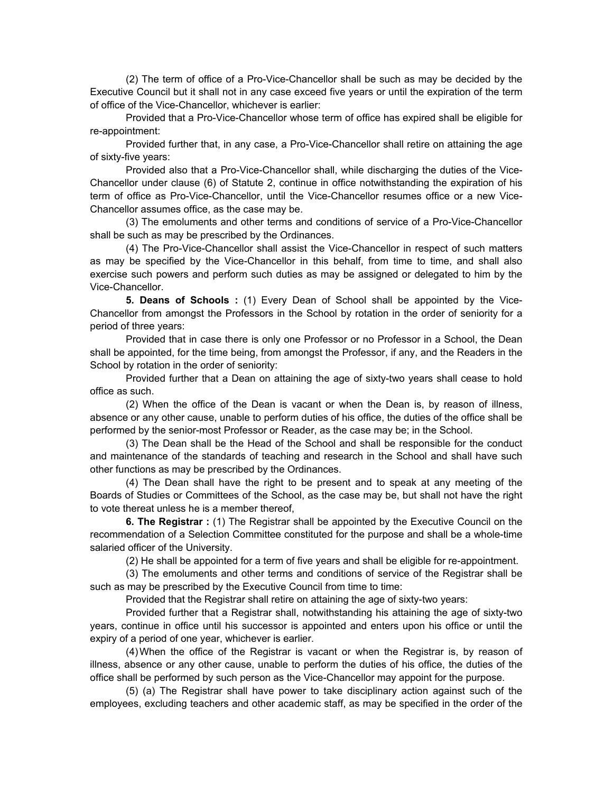(2) The term of office of a Pro-Vice-Chancellor shall be such as may be decided by the Executive Council but it shall not in any case exceed five years or until the expiration of the term of office of the Vice-Chancellor, whichever is earlier:

 Provided that a Pro-Vice-Chancellor whose term of office has expired shall be eligible for re-appointment:

 Provided further that, in any case, a Pro-Vice-Chancellor shall retire on attaining the age of sixty-five years:

 Provided also that a Pro-Vice-Chancellor shall, while discharging the duties of the Vice-Chancellor under clause (6) of Statute 2, continue in office notwithstanding the expiration of his term of office as Pro-Vice-Chancellor, until the Vice-Chancellor resumes office or a new Vice-Chancellor assumes office, as the case may be.

 (3) The emoluments and other terms and conditions of service of a Pro-Vice-Chancellor shall be such as may be prescribed by the Ordinances.

 (4) The Pro-Vice-Chancellor shall assist the Vice-Chancellor in respect of such matters as may be specified by the Vice-Chancellor in this behalf, from time to time, and shall also exercise such powers and perform such duties as may be assigned or delegated to him by the Vice-Chancellor.

 **5. Deans of Schools :** (1) Every Dean of School shall be appointed by the Vice-Chancellor from amongst the Professors in the School by rotation in the order of seniority for a period of three years:

 Provided that in case there is only one Professor or no Professor in a School, the Dean shall be appointed, for the time being, from amongst the Professor, if any, and the Readers in the School by rotation in the order of seniority:

 Provided further that a Dean on attaining the age of sixty-two years shall cease to hold office as such.

 (2) When the office of the Dean is vacant or when the Dean is, by reason of illness, absence or any other cause, unable to perform duties of his office, the duties of the office shall be performed by the senior-most Professor or Reader, as the case may be; in the School.

 (3) The Dean shall be the Head of the School and shall be responsible for the conduct and maintenance of the standards of teaching and research in the School and shall have such other functions as may be prescribed by the Ordinances.

 (4) The Dean shall have the right to be present and to speak at any meeting of the Boards of Studies or Committees of the School, as the case may be, but shall not have the right to vote thereat unless he is a member thereof,

 **6. The Registrar :** (1) The Registrar shall be appointed by the Executive Council on the recommendation of a Selection Committee constituted for the purpose and shall be a whole-time salaried officer of the University.

(2) He shall be appointed for a term of five years and shall be eligible for re-appointment.

 (3) The emoluments and other terms and conditions of service of the Registrar shall be such as may be prescribed by the Executive Council from time to time:

Provided that the Registrar shall retire on attaining the age of sixty-two years:

 Provided further that a Registrar shall, notwithstanding his attaining the age of sixty-two years, continue in office until his successor is appointed and enters upon his office or until the expiry of a period of one year, whichever is earlier.

 (4) When the office of the Registrar is vacant or when the Registrar is, by reason of illness, absence or any other cause, unable to perform the duties of his office, the duties of the office shall be performed by such person as the Vice-Chancellor may appoint for the purpose.

 (5) (a) The Registrar shall have power to take disciplinary action against such of the employees, excluding teachers and other academic staff, as may be specified in the order of the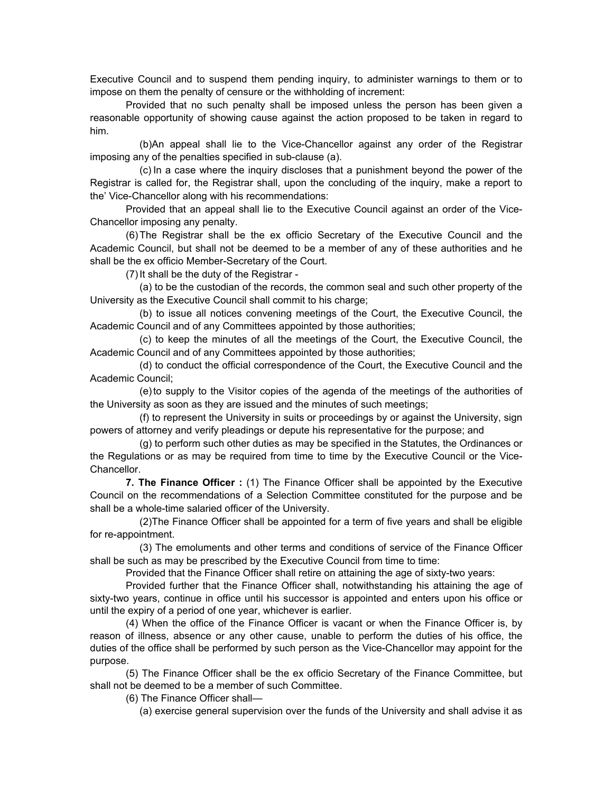Executive Council and to suspend them pending inquiry, to administer warnings to them or to impose on them the penalty of censure or the withholding of increment:

 Provided that no such penalty shall be imposed unless the person has been given a reasonable opportunity of showing cause against the action proposed to be taken in regard to him.

 (b)An appeal shall lie to the Vice-Chancellor against any order of the Registrar imposing any of the penalties specified in sub-clause (a).

 (c) In a case where the inquiry discloses that a punishment beyond the power of the Registrar is called for, the Registrar shall, upon the concluding of the inquiry, make a report to the' Vice-Chancellor along with his recommendations:

 Provided that an appeal shall lie to the Executive Council against an order of the Vice-Chancellor imposing any penalty.

 (6) The Registrar shall be the ex officio Secretary of the Executive Council and the Academic Council, but shall not be deemed to be a member of any of these authorities and he shall be the ex officio Member-Secretary of the Court.

(7) It shall be the duty of the Registrar -

 (a) to be the custodian of the records, the common seal and such other property of the University as the Executive Council shall commit to his charge;

 (b) to issue all notices convening meetings of the Court, the Executive Council, the Academic Council and of any Committees appointed by those authorities;

 (c) to keep the minutes of all the meetings of the Court, the Executive Council, the Academic Council and of any Committees appointed by those authorities;

 (d) to conduct the official correspondence of the Court, the Executive Council and the Academic Council;

 (e) to supply to the Visitor copies of the agenda of the meetings of the authorities of the University as soon as they are issued and the minutes of such meetings;

 (f) to represent the University in suits or proceedings by or against the University, sign powers of attorney and verify pleadings or depute his representative for the purpose; and

 (g) to perform such other duties as may be specified in the Statutes, the Ordinances or the Regulations or as may be required from time to time by the Executive Council or the Vice-Chancellor.

 **7. The Finance Officer :** (1) The Finance Officer shall be appointed by the Executive Council on the recommendations of a Selection Committee constituted for the purpose and be shall be a whole-time salaried officer of the University.

 (2)The Finance Officer shall be appointed for a term of five years and shall be eligible for re-appointment.

 (3) The emoluments and other terms and conditions of service of the Finance Officer shall be such as may be prescribed by the Executive Council from time to time:

Provided that the Finance Officer shall retire on attaining the age of sixty-two years:

 Provided further that the Finance Officer shall, notwithstanding his attaining the age of sixty-two years, continue in office until his successor is appointed and enters upon his office or until the expiry of a period of one year, whichever is earlier.

 (4) When the office of the Finance Officer is vacant or when the Finance Officer is, by reason of illness, absence or any other cause, unable to perform the duties of his office, the duties of the office shall be performed by such person as the Vice-Chancellor may appoint for the purpose.

 (5) The Finance Officer shall be the ex officio Secretary of the Finance Committee, but shall not be deemed to be a member of such Committee.

(6) The Finance Officer shall—

(a) exercise general supervision over the funds of the University and shall advise it as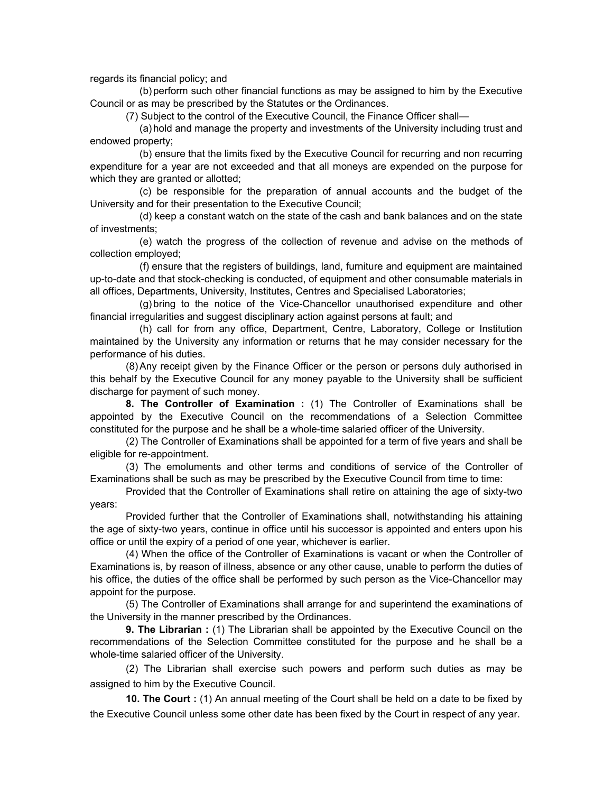regards its financial policy; and

 (b) perform such other financial functions as may be assigned to him by the Executive Council or as may be prescribed by the Statutes or the Ordinances.

(7) Subject to the control of the Executive Council, the Finance Officer shall—

 (a) hold and manage the property and investments of the University including trust and endowed property;

 (b) ensure that the limits fixed by the Executive Council for recurring and non recurring expenditure for a year are not exceeded and that all moneys are expended on the purpose for which they are granted or allotted;

 (c) be responsible for the preparation of annual accounts and the budget of the University and for their presentation to the Executive Council;

 (d) keep a constant watch on the state of the cash and bank balances and on the state of investments;

 (e) watch the progress of the collection of revenue and advise on the methods of collection employed;

 (f) ensure that the registers of buildings, land, furniture and equipment are maintained up-to-date and that stock-checking is conducted, of equipment and other consumable materials in all offices, Departments, University, Institutes, Centres and Specialised Laboratories;

 (g) bring to the notice of the Vice-Chancellor unauthorised expenditure and other financial irregularities and suggest disciplinary action against persons at fault; and

 (h) call for from any office, Department, Centre, Laboratory, College or Institution maintained by the University any information or returns that he may consider necessary for the performance of his duties.

 (8) Any receipt given by the Finance Officer or the person or persons duly authorised in this behalf by the Executive Council for any money payable to the University shall be sufficient discharge for payment of such money.

 **8. The Controller of Examination :** (1) The Controller of Examinations shall be appointed by the Executive Council on the recommendations of a Selection Committee constituted for the purpose and he shall be a whole-time salaried officer of the University.

 (2) The Controller of Examinations shall be appointed for a term of five years and shall be eligible for re-appointment.

 (3) The emoluments and other terms and conditions of service of the Controller of Examinations shall be such as may be prescribed by the Executive Council from time to time:

 Provided that the Controller of Examinations shall retire on attaining the age of sixty-two years:

 Provided further that the Controller of Examinations shall, notwithstanding his attaining the age of sixty-two years, continue in office until his successor is appointed and enters upon his office or until the expiry of a period of one year, whichever is earlier.

 (4) When the office of the Controller of Examinations is vacant or when the Controller of Examinations is, by reason of illness, absence or any other cause, unable to perform the duties of his office, the duties of the office shall be performed by such person as the Vice-Chancellor may appoint for the purpose.

 (5) The Controller of Examinations shall arrange for and superintend the examinations of the University in the manner prescribed by the Ordinances.

 **9. The Librarian :** (1) The Librarian shall be appointed by the Executive Council on the recommendations of the Selection Committee constituted for the purpose and he shall be a whole-time salaried officer of the University.

 (2) The Librarian shall exercise such powers and perform such duties as may be assigned to him by the Executive Council.

 **10. The Court :** (1) An annual meeting of the Court shall be held on a date to be fixed by the Executive Council unless some other date has been fixed by the Court in respect of any year.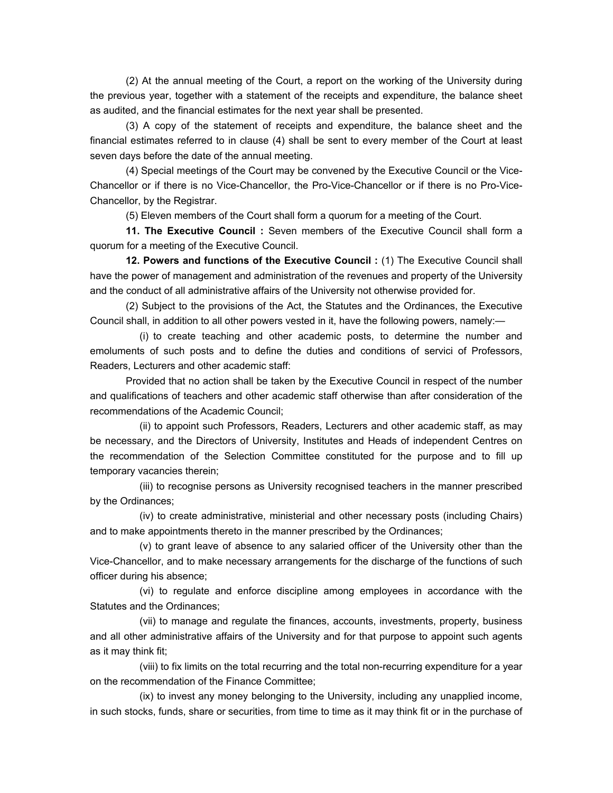(2) At the annual meeting of the Court, a report on the working of the University during the previous year, together with a statement of the receipts and expenditure, the balance sheet as audited, and the financial estimates for the next year shall be presented.

 (3) A copy of the statement of receipts and expenditure, the balance sheet and the financial estimates referred to in clause (4) shall be sent to every member of the Court at least seven days before the date of the annual meeting.

 (4) Special meetings of the Court may be convened by the Executive Council or the Vice-Chancellor or if there is no Vice-Chancellor, the Pro-Vice-Chancellor or if there is no Pro-Vice-Chancellor, by the Registrar.

(5) Eleven members of the Court shall form a quorum for a meeting of the Court.

 **11. The Executive Council :** Seven members of the Executive Council shall form a quorum for a meeting of the Executive Council.

 **12. Powers and functions of the Executive Council :** (1) The Executive Council shall have the power of management and administration of the revenues and property of the University and the conduct of all administrative affairs of the University not otherwise provided for.

 (2) Subject to the provisions of the Act, the Statutes and the Ordinances, the Executive Council shall, in addition to all other powers vested in it, have the following powers, namely:—

 (i) to create teaching and other academic posts, to determine the number and emoluments of such posts and to define the duties and conditions of servici of Professors, Readers, Lecturers and other academic staff:

 Provided that no action shall be taken by the Executive Council in respect of the number and qualifications of teachers and other academic staff otherwise than after consideration of the recommendations of the Academic Council;

 (ii) to appoint such Professors, Readers, Lecturers and other academic staff, as may be necessary, and the Directors of University, Institutes and Heads of independent Centres on the recommendation of the Selection Committee constituted for the purpose and to fill up temporary vacancies therein;

 (iii) to recognise persons as University recognised teachers in the manner prescribed by the Ordinances;

 (iv) to create administrative, ministerial and other necessary posts (including Chairs) and to make appointments thereto in the manner prescribed by the Ordinances;

 (v) to grant leave of absence to any salaried officer of the University other than the Vice-Chancellor, and to make necessary arrangements for the discharge of the functions of such officer during his absence;

 (vi) to regulate and enforce discipline among employees in accordance with the Statutes and the Ordinances;

 (vii) to manage and regulate the finances, accounts, investments, property, business and all other administrative affairs of the University and for that purpose to appoint such agents as it may think fit;

 (viii) to fix limits on the total recurring and the total non-recurring expenditure for a year on the recommendation of the Finance Committee;

 (ix) to invest any money belonging to the University, including any unapplied income, in such stocks, funds, share or securities, from time to time as it may think fit or in the purchase of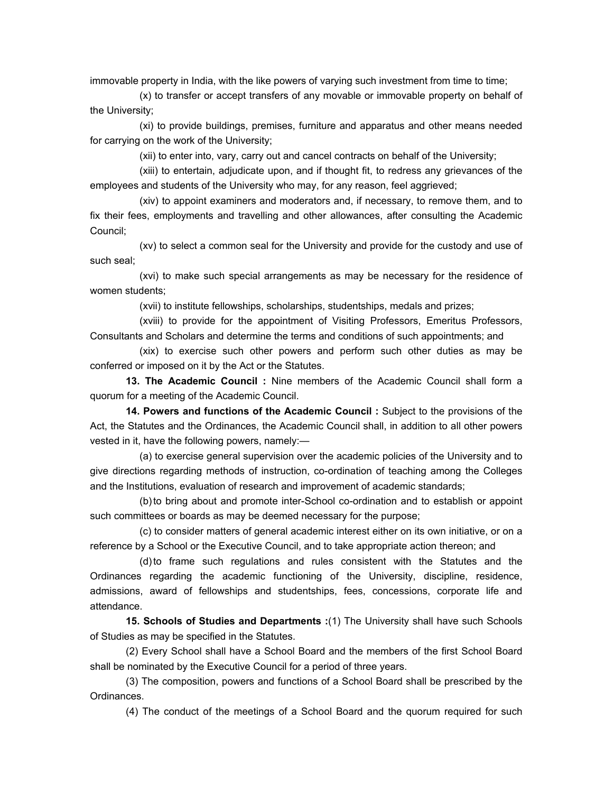immovable property in India, with the like powers of varying such investment from time to time;

 (x) to transfer or accept transfers of any movable or immovable property on behalf of the University;

 (xi) to provide buildings, premises, furniture and apparatus and other means needed for carrying on the work of the University;

(xii) to enter into, vary, carry out and cancel contracts on behalf of the University;

 (xiii) to entertain, adjudicate upon, and if thought fit, to redress any grievances of the employees and students of the University who may, for any reason, feel aggrieved;

 (xiv) to appoint examiners and moderators and, if necessary, to remove them, and to fix their fees, employments and travelling and other allowances, after consulting the Academic Council;

 (xv) to select a common seal for the University and provide for the custody and use of such seal;

 (xvi) to make such special arrangements as may be necessary for the residence of women students;

(xvii) to institute fellowships, scholarships, studentships, medals and prizes;

 (xviii) to provide for the appointment of Visiting Professors, Emeritus Professors, Consultants and Scholars and determine the terms and conditions of such appointments; and

 (xix) to exercise such other powers and perform such other duties as may be conferred or imposed on it by the Act or the Statutes.

 **13. The Academic Council :** Nine members of the Academic Council shall form a quorum for a meeting of the Academic Council.

 **14. Powers and functions of the Academic Council :** Subject to the provisions of the Act, the Statutes and the Ordinances, the Academic Council shall, in addition to all other powers vested in it, have the following powers, namely:—

 (a) to exercise general supervision over the academic policies of the University and to give directions regarding methods of instruction, co-ordination of teaching among the Colleges and the Institutions, evaluation of research and improvement of academic standards;

 (b) to bring about and promote inter-School co-ordination and to establish or appoint such committees or boards as may be deemed necessary for the purpose;

 (c) to consider matters of general academic interest either on its own initiative, or on a reference by a School or the Executive Council, and to take appropriate action thereon; and

 (d) to frame such regulations and rules consistent with the Statutes and the Ordinances regarding the academic functioning of the University, discipline, residence, admissions, award of fellowships and studentships, fees, concessions, corporate life and attendance.

 **15. Schools of Studies and Departments :**(1) The University shall have such Schools of Studies as may be specified in the Statutes.

 (2) Every School shall have a School Board and the members of the first School Board shall be nominated by the Executive Council for a period of three years.

 (3) The composition, powers and functions of a School Board shall be prescribed by the Ordinances.

(4) The conduct of the meetings of a School Board and the quorum required for such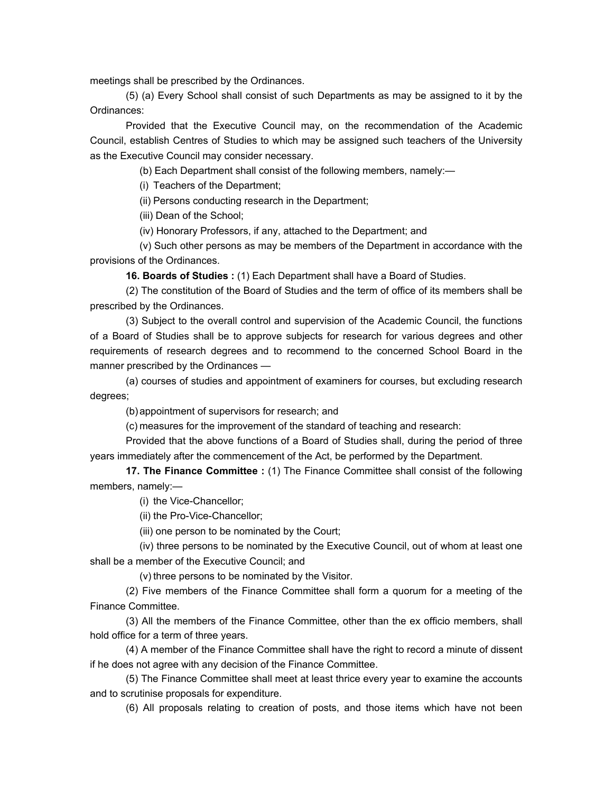meetings shall be prescribed by the Ordinances.

 (5) (a) Every School shall consist of such Departments as may be assigned to it by the Ordinances:

 Provided that the Executive Council may, on the recommendation of the Academic Council, establish Centres of Studies to which may be assigned such teachers of the University as the Executive Council may consider necessary.

(b) Each Department shall consist of the following members, namely:—

(i) Teachers of the Department;

(ii) Persons conducting research in the Department;

(iii) Dean of the School;

(iv) Honorary Professors, if any, attached to the Department; and

 (v) Such other persons as may be members of the Department in accordance with the provisions of the Ordinances.

 **16. Boards of Studies :** (1) Each Department shall have a Board of Studies.

 (2) The constitution of the Board of Studies and the term of office of its members shall be prescribed by the Ordinances.

 (3) Subject to the overall control and supervision of the Academic Council, the functions of a Board of Studies shall be to approve subjects for research for various degrees and other requirements of research degrees and to recommend to the concerned School Board in the manner prescribed by the Ordinances —

 (a) courses of studies and appointment of examiners for courses, but excluding research degrees;

(b) appointment of supervisors for research; and

(c) measures for the improvement of the standard of teaching and research:

 Provided that the above functions of a Board of Studies shall, during the period of three years immediately after the commencement of the Act, be performed by the Department.

 **17. The Finance Committee :** (1) The Finance Committee shall consist of the following members, namely:—

(i) the Vice-Chancellor;

(ii) the Pro-Vice-Chancellor;

(iii) one person to be nominated by the Court;

 (iv) three persons to be nominated by the Executive Council, out of whom at least one shall be a member of the Executive Council; and

(v) three persons to be nominated by the Visitor.

 (2) Five members of the Finance Committee shall form a quorum for a meeting of the Finance Committee.

 (3) All the members of the Finance Committee, other than the ex officio members, shall hold office for a term of three years.

 (4) A member of the Finance Committee shall have the right to record a minute of dissent if he does not agree with any decision of the Finance Committee.

 (5) The Finance Committee shall meet at least thrice every year to examine the accounts and to scrutinise proposals for expenditure.

(6) All proposals relating to creation of posts, and those items which have not been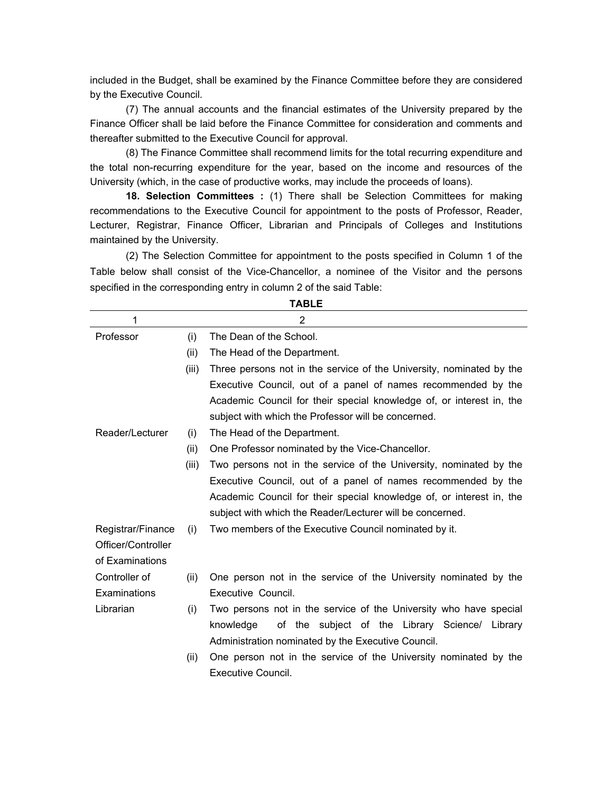included in the Budget, shall be examined by the Finance Committee before they are considered by the Executive Council.

 (7) The annual accounts and the financial estimates of the University prepared by the Finance Officer shall be laid before the Finance Committee for consideration and comments and thereafter submitted to the Executive Council for approval.

 (8) The Finance Committee shall recommend limits for the total recurring expenditure and the total non-recurring expenditure for the year, based on the income and resources of the University (which, in the case of productive works, may include the proceeds of loans).

 **18. Selection Committees :** (1) There shall be Selection Committees for making recommendations to the Executive Council for appointment to the posts of Professor, Reader, Lecturer, Registrar, Finance Officer, Librarian and Principals of Colleges and Institutions maintained by the University.

 (2) The Selection Committee for appointment to the posts specified in Column 1 of the Table below shall consist of the Vice-Chancellor, a nominee of the Visitor and the persons specified in the corresponding entry in column 2 of the said Table:

| 1                  |       | 2                                                                    |
|--------------------|-------|----------------------------------------------------------------------|
| Professor          | (i)   | The Dean of the School.                                              |
|                    | (ii)  | The Head of the Department.                                          |
|                    | (iii) | Three persons not in the service of the University, nominated by the |
|                    |       | Executive Council, out of a panel of names recommended by the        |
|                    |       | Academic Council for their special knowledge of, or interest in, the |
|                    |       | subject with which the Professor will be concerned.                  |
| Reader/Lecturer    | (i)   | The Head of the Department.                                          |
|                    | (ii)  | One Professor nominated by the Vice-Chancellor.                      |
|                    | (iii) | Two persons not in the service of the University, nominated by the   |
|                    |       | Executive Council, out of a panel of names recommended by the        |
|                    |       | Academic Council for their special knowledge of, or interest in, the |
|                    |       | subject with which the Reader/Lecturer will be concerned.            |
| Registrar/Finance  | (i)   | Two members of the Executive Council nominated by it.                |
| Officer/Controller |       |                                                                      |
| of Examinations    |       |                                                                      |
| Controller of      | (ii)  | One person not in the service of the University nominated by the     |
| Examinations       |       | Executive Council.                                                   |
| Librarian          | (i)   | Two persons not in the service of the University who have special    |
|                    |       | of the subject of the Library Science/ Library<br>knowledge          |
|                    |       | Administration nominated by the Executive Council.                   |
|                    | (ii)  | One person not in the service of the University nominated by the     |
|                    |       | Executive Council.                                                   |

**TABLE**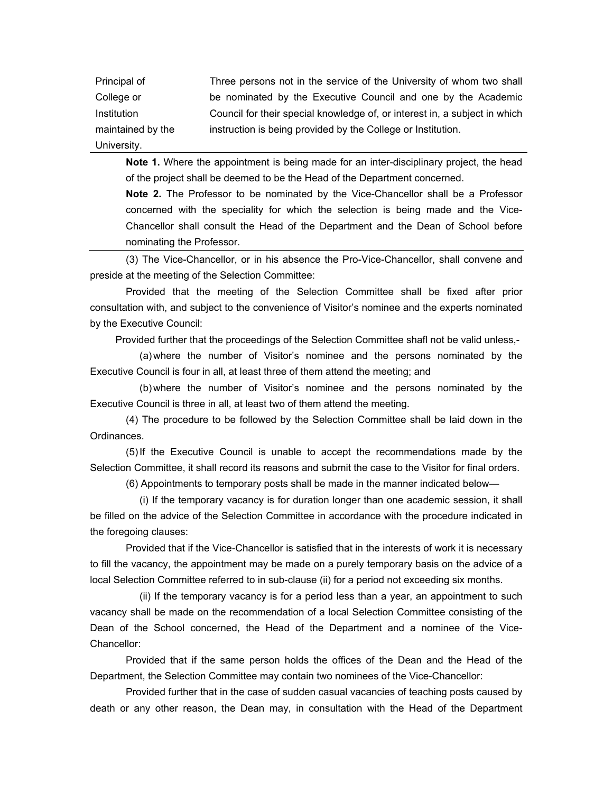Principal of College or Institution maintained by the University. Three persons not in the service of the University of whom two shall be nominated by the Executive Council and one by the Academic Council for their special knowledge of, or interest in, a subject in which instruction is being provided by the College or Institution.

 **Note 1.** Where the appointment is being made for an inter-disciplinary project, the head of the project shall be deemed to be the Head of the Department concerned.

 **Note 2.** The Professor to be nominated by the Vice-Chancellor shall be a Professor concerned with the speciality for which the selection is being made and the Vice-Chancellor shall consult the Head of the Department and the Dean of School before nominating the Professor.

 (3) The Vice-Chancellor, or in his absence the Pro-Vice-Chancellor, shall convene and preside at the meeting of the Selection Committee:

 Provided that the meeting of the Selection Committee shall be fixed after prior consultation with, and subject to the convenience of Visitor's nominee and the experts nominated by the Executive Council:

Provided further that the proceedings of the Selection Committee shafl not be valid unless,-

 (a) where the number of Visitor's nominee and the persons nominated by the Executive Council is four in all, at least three of them attend the meeting; and

 (b) where the number of Visitor's nominee and the persons nominated by the Executive Council is three in all, at least two of them attend the meeting.

 (4) The procedure to be followed by the Selection Committee shall be laid down in the Ordinances.

 (5) If the Executive Council is unable to accept the recommendations made by the Selection Committee, it shall record its reasons and submit the case to the Visitor for final orders.

(6) Appointments to temporary posts shall be made in the manner indicated below—

 (i) If the temporary vacancy is for duration longer than one academic session, it shall be filled on the advice of the Selection Committee in accordance with the procedure indicated in the foregoing clauses:

 Provided that if the Vice-Chancellor is satisfied that in the interests of work it is necessary to fill the vacancy, the appointment may be made on a purely temporary basis on the advice of a local Selection Committee referred to in sub-clause (ii) for a period not exceeding six months.

 (ii) If the temporary vacancy is for a period less than a year, an appointment to such vacancy shall be made on the recommendation of a local Selection Committee consisting of the Dean of the School concerned, the Head of the Department and a nominee of the Vice-Chancellor:

Provided that if the same person holds the offices of the Dean and the Head of the Department, the Selection Committee may contain two nominees of the Vice-Chancellor:

 Provided further that in the case of sudden casual vacancies of teaching posts caused by death or any other reason, the Dean may, in consultation with the Head of the Department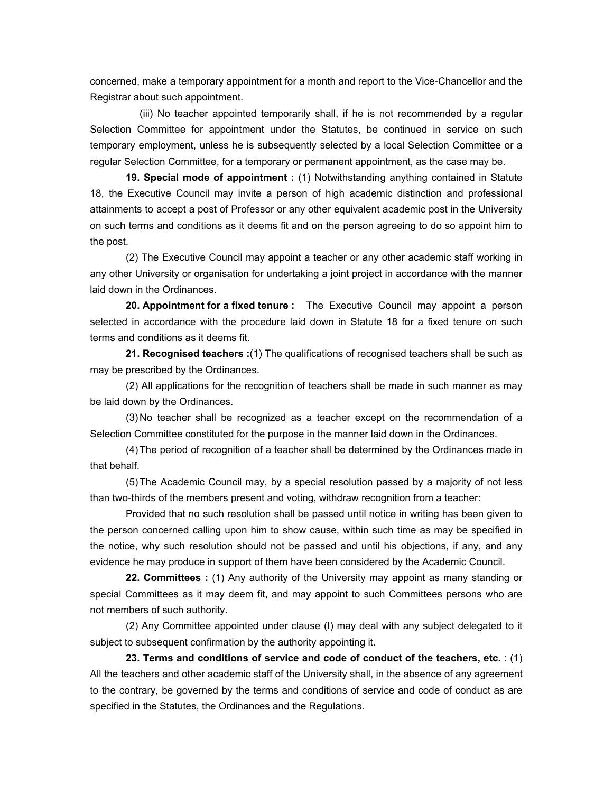concerned, make a temporary appointment for a month and report to the Vice-Chancellor and the Registrar about such appointment.

 (iii) No teacher appointed temporarily shall, if he is not recommended by a regular Selection Committee for appointment under the Statutes, be continued in service on such temporary employment, unless he is subsequently selected by a local Selection Committee or a regular Selection Committee, for a temporary or permanent appointment, as the case may be.

 **19. Special mode of appointment :** (1) Notwithstanding anything contained in Statute 18, the Executive Council may invite a person of high academic distinction and professional attainments to accept a post of Professor or any other equivalent academic post in the University on such terms and conditions as it deems fit and on the person agreeing to do so appoint him to the post.

 (2) The Executive Council may appoint a teacher or any other academic staff working in any other University or organisation for undertaking a joint project in accordance with the manner laid down in the Ordinances.

 **20. Appointment for a fixed tenure :** The Executive Council may appoint a person selected in accordance with the procedure laid down in Statute 18 for a fixed tenure on such terms and conditions as it deems fit.

 **21. Recognised teachers :**(1) The qualifications of recognised teachers shall be such as may be prescribed by the Ordinances.

 (2) All applications for the recognition of teachers shall be made in such manner as may be laid down by the Ordinances.

 (3) No teacher shall be recognized as a teacher except on the recommendation of a Selection Committee constituted for the purpose in the manner laid down in the Ordinances.

 (4) The period of recognition of a teacher shall be determined by the Ordinances made in that behalf.

 (5) The Academic Council may, by a special resolution passed by a majority of not less than two-thirds of the members present and voting, withdraw recognition from a teacher:

 Provided that no such resolution shall be passed until notice in writing has been given to the person concerned calling upon him to show cause, within such time as may be specified in the notice, why such resolution should not be passed and until his objections, if any, and any evidence he may produce in support of them have been considered by the Academic Council.

 **22. Committees :** (1) Any authority of the University may appoint as many standing or special Committees as it may deem fit, and may appoint to such Committees persons who are not members of such authority.

 (2) Any Committee appointed under clause (I) may deal with any subject delegated to it subject to subsequent confirmation by the authority appointing it.

 **23. Terms and conditions of service and code of conduct of the teachers, etc.** : (1) All the teachers and other academic staff of the University shall, in the absence of any agreement to the contrary, be governed by the terms and conditions of service and code of conduct as are specified in the Statutes, the Ordinances and the Regulations.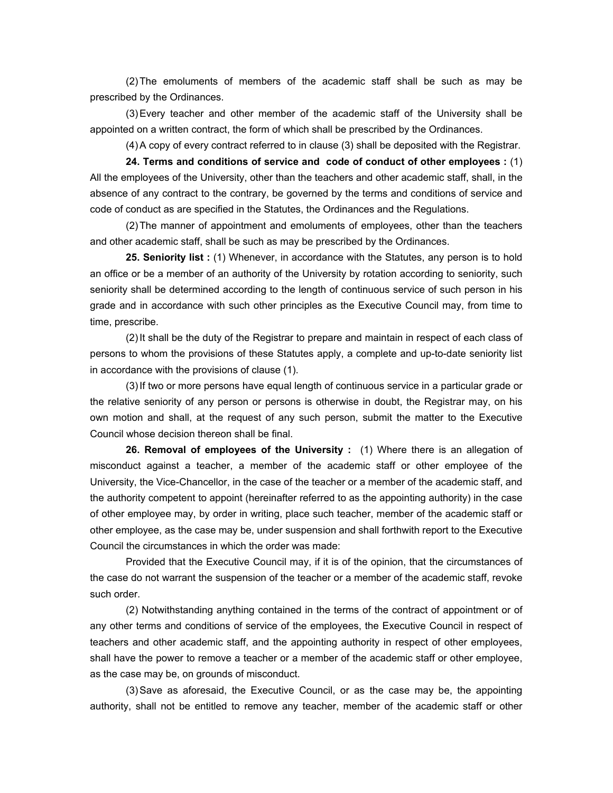(2) The emoluments of members of the academic staff shall be such as may be prescribed by the Ordinances.

 (3) Every teacher and other member of the academic staff of the University shall be appointed on a written contract, the form of which shall be prescribed by the Ordinances.

(4) A copy of every contract referred to in clause (3) shall be deposited with the Registrar.

 **24. Terms and conditions of service and code of conduct of other employees :** (1) All the employees of the University, other than the teachers and other academic staff, shall, in the absence of any contract to the contrary, be governed by the terms and conditions of service and code of conduct as are specified in the Statutes, the Ordinances and the Regulations.

 (2) The manner of appointment and emoluments of employees, other than the teachers and other academic staff, shall be such as may be prescribed by the Ordinances.

**25. Seniority list :** (1) Whenever, in accordance with the Statutes, any person is to hold an office or be a member of an authority of the University by rotation according to seniority, such seniority shall be determined according to the length of continuous service of such person in his grade and in accordance with such other principles as the Executive Council may, from time to time, prescribe.

 (2) It shall be the duty of the Registrar to prepare and maintain in respect of each class of persons to whom the provisions of these Statutes apply, a complete and up-to-date seniority list in accordance with the provisions of clause (1).

 (3) If two or more persons have equal length of continuous service in a particular grade or the relative seniority of any person or persons is otherwise in doubt, the Registrar may, on his own motion and shall, at the request of any such person, submit the matter to the Executive Council whose decision thereon shall be final.

 **26. Removal of employees of the University :** (1) Where there is an allegation of misconduct against a teacher, a member of the academic staff or other employee of the University, the Vice-Chancellor, in the case of the teacher or a member of the academic staff, and the authority competent to appoint (hereinafter referred to as the appointing authority) in the case of other employee may, by order in writing, place such teacher, member of the academic staff or other employee, as the case may be, under suspension and shall forthwith report to the Executive Council the circumstances in which the order was made:

 Provided that the Executive Council may, if it is of the opinion, that the circumstances of the case do not warrant the suspension of the teacher or a member of the academic staff, revoke such order.

 (2) Notwithstanding anything contained in the terms of the contract of appointment or of any other terms and conditions of service of the employees, the Executive Council in respect of teachers and other academic staff, and the appointing authority in respect of other employees, shall have the power to remove a teacher or a member of the academic staff or other employee, as the case may be, on grounds of misconduct.

 (3) Save as aforesaid, the Executive Council, or as the case may be, the appointing authority, shall not be entitled to remove any teacher, member of the academic staff or other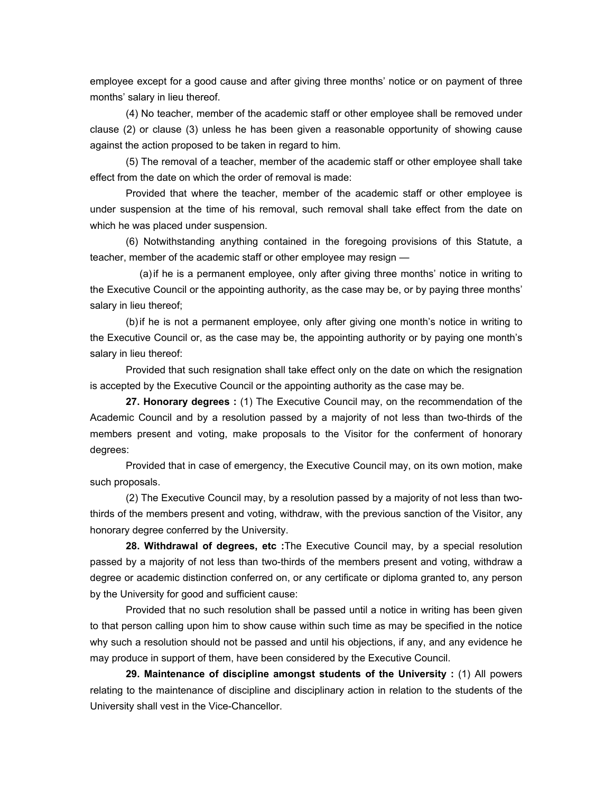employee except for a good cause and after giving three months' notice or on payment of three months' salary in lieu thereof.

 (4) No teacher, member of the academic staff or other employee shall be removed under clause (2) or clause (3) unless he has been given a reasonable opportunity of showing cause against the action proposed to be taken in regard to him.

 (5) The removal of a teacher, member of the academic staff or other employee shall take effect from the date on which the order of removal is made:

 Provided that where the teacher, member of the academic staff or other employee is under suspension at the time of his removal, such removal shall take effect from the date on which he was placed under suspension.

 (6) Notwithstanding anything contained in the foregoing provisions of this Statute, a teacher, member of the academic staff or other employee may resign —

 (a) if he is a permanent employee, only after giving three months' notice in writing to the Executive Council or the appointing authority, as the case may be, or by paying three months' salary in lieu thereof;

 (b) if he is not a permanent employee, only after giving one month's notice in writing to the Executive Council or, as the case may be, the appointing authority or by paying one month's salary in lieu thereof:

 Provided that such resignation shall take effect only on the date on which the resignation is accepted by the Executive Council or the appointing authority as the case may be.

 **27. Honorary degrees :** (1) The Executive Council may, on the recommendation of the Academic Council and by a resolution passed by a majority of not less than two-thirds of the members present and voting, make proposals to the Visitor for the conferment of honorary degrees:

 Provided that in case of emergency, the Executive Council may, on its own motion, make such proposals.

 (2) The Executive Council may, by a resolution passed by a majority of not less than twothirds of the members present and voting, withdraw, with the previous sanction of the Visitor, any honorary degree conferred by the University.

 **28. Withdrawal of degrees, etc :**The Executive Council may, by a special resolution passed by a majority of not less than two-thirds of the members present and voting, withdraw a degree or academic distinction conferred on, or any certificate or diploma granted to, any person by the University for good and sufficient cause:

 Provided that no such resolution shall be passed until a notice in writing has been given to that person calling upon him to show cause within such time as may be specified in the notice why such a resolution should not be passed and until his objections, if any, and any evidence he may produce in support of them, have been considered by the Executive Council.

 **29. Maintenance of discipline amongst students of the University :** (1) All powers relating to the maintenance of discipline and disciplinary action in relation to the students of the University shall vest in the Vice-Chancellor.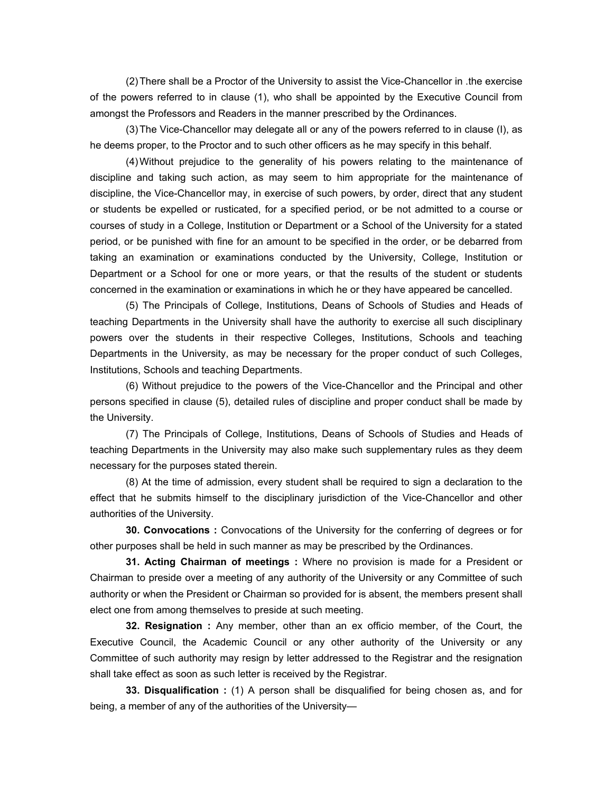(2) There shall be a Proctor of the University to assist the Vice-Chancellor in .the exercise of the powers referred to in clause (1), who shall be appointed by the Executive Council from amongst the Professors and Readers in the manner prescribed by the Ordinances.

 (3) The Vice-Chancellor may delegate all or any of the powers referred to in clause (I), as he deems proper, to the Proctor and to such other officers as he may specify in this behalf.

 (4) Without prejudice to the generality of his powers relating to the maintenance of discipline and taking such action, as may seem to him appropriate for the maintenance of discipline, the Vice-Chancellor may, in exercise of such powers, by order, direct that any student or students be expelled or rusticated, for a specified period, or be not admitted to a course or courses of study in a College, Institution or Department or a School of the University for a stated period, or be punished with fine for an amount to be specified in the order, or be debarred from taking an examination or examinations conducted by the University, College, Institution or Department or a School for one or more years, or that the results of the student or students concerned in the examination or examinations in which he or they have appeared be cancelled.

 (5) The Principals of College, Institutions, Deans of Schools of Studies and Heads of teaching Departments in the University shall have the authority to exercise all such disciplinary powers over the students in their respective Colleges, Institutions, Schools and teaching Departments in the University, as may be necessary for the proper conduct of such Colleges, Institutions, Schools and teaching Departments.

 (6) Without prejudice to the powers of the Vice-Chancellor and the Principal and other persons specified in clause (5), detailed rules of discipline and proper conduct shall be made by the University.

 (7) The Principals of College, Institutions, Deans of Schools of Studies and Heads of teaching Departments in the University may also make such supplementary rules as they deem necessary for the purposes stated therein.

 (8) At the time of admission, every student shall be required to sign a declaration to the effect that he submits himself to the disciplinary jurisdiction of the Vice-Chancellor and other authorities of the University.

 **30. Convocations :** Convocations of the University for the conferring of degrees or for other purposes shall be held in such manner as may be prescribed by the Ordinances.

 **31. Acting Chairman of meetings :** Where no provision is made for a President or Chairman to preside over a meeting of any authority of the University or any Committee of such authority or when the President or Chairman so provided for is absent, the members present shall elect one from among themselves to preside at such meeting.

 **32. Resignation :** Any member, other than an ex officio member, of the Court, the Executive Council, the Academic Council or any other authority of the University or any Committee of such authority may resign by letter addressed to the Registrar and the resignation shall take effect as soon as such letter is received by the Registrar.

 **33. Disqualification :** (1) A person shall be disqualified for being chosen as, and for being, a member of any of the authorities of the University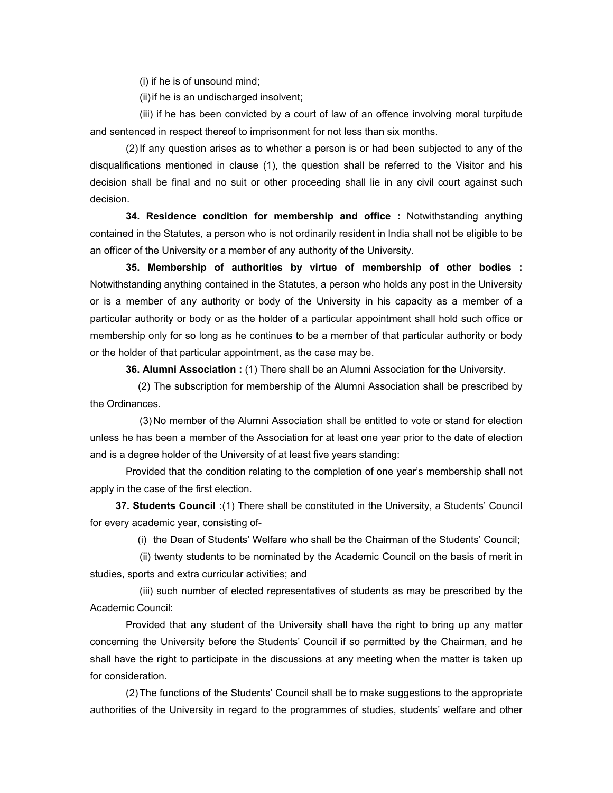(i) if he is of unsound mind;

(ii) if he is an undischarged insolvent;

 (iii) if he has been convicted by a court of law of an offence involving moral turpitude and sentenced in respect thereof to imprisonment for not less than six months.

 (2) If any question arises as to whether a person is or had been subjected to any of the disqualifications mentioned in clause (1), the question shall be referred to the Visitor and his decision shall be final and no suit or other proceeding shall lie in any civil court against such decision.

 **34. Residence condition for membership and office :** Notwithstanding anything contained in the Statutes, a person who is not ordinarily resident in India shall not be eligible to be an officer of the University or a member of any authority of the University.

 **35. Membership of authorities by virtue of membership of other bodies :**  Notwithstanding anything contained in the Statutes, a person who holds any post in the University or is a member of any authority or body of the University in his capacity as a member of a particular authority or body or as the holder of a particular appointment shall hold such office or membership only for so long as he continues to be a member of that particular authority or body or the holder of that particular appointment, as the case may be.

 **36. Alumni Association :** (1) There shall be an Alumni Association for the University.

 (2) The subscription for membership of the Alumni Association shall be prescribed by the Ordinances.

 (3) No member of the Alumni Association shall be entitled to vote or stand for election unless he has been a member of the Association for at least one year prior to the date of election and is a degree holder of the University of at least five years standing:

 Provided that the condition relating to the completion of one year's membership shall not apply in the case of the first election.

 **37. Students Council :**(1) There shall be constituted in the University, a Students' Council for every academic year, consisting of-

(i) the Dean of Students' Welfare who shall be the Chairman of the Students' Council;

 (ii) twenty students to be nominated by the Academic Council on the basis of merit in studies, sports and extra curricular activities; and

 (iii) such number of elected representatives of students as may be prescribed by the Academic Council:

 Provided that any student of the University shall have the right to bring up any matter concerning the University before the Students' Council if so permitted by the Chairman, and he shall have the right to participate in the discussions at any meeting when the matter is taken up for consideration.

 (2) The functions of the Students' Council shall be to make suggestions to the appropriate authorities of the University in regard to the programmes of studies, students' welfare and other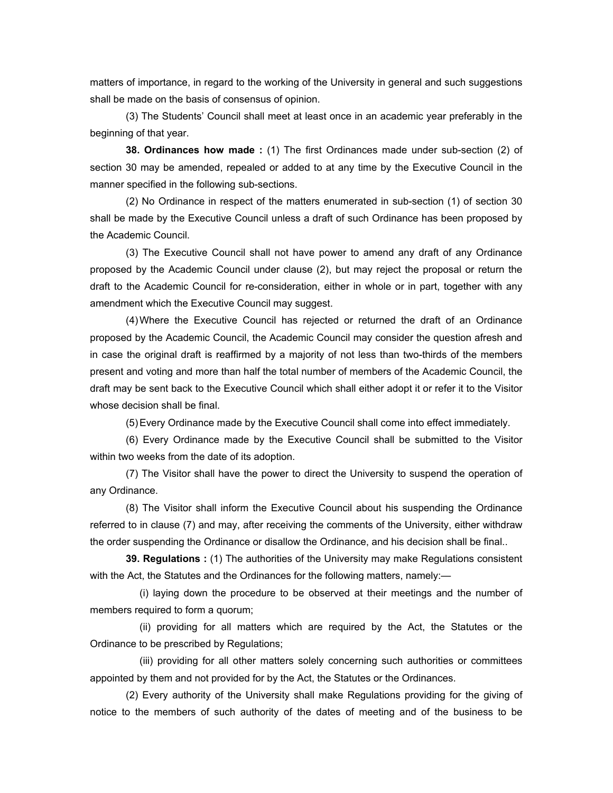matters of importance, in regard to the working of the University in general and such suggestions shall be made on the basis of consensus of opinion.

 (3) The Students' Council shall meet at least once in an academic year preferably in the beginning of that year.

 **38. Ordinances how made :** (1) The first Ordinances made under sub-section (2) of section 30 may be amended, repealed or added to at any time by the Executive Council in the manner specified in the following sub-sections.

 (2) No Ordinance in respect of the matters enumerated in sub-section (1) of section 30 shall be made by the Executive Council unless a draft of such Ordinance has been proposed by the Academic Council.

 (3) The Executive Council shall not have power to amend any draft of any Ordinance proposed by the Academic Council under clause (2), but may reject the proposal or return the draft to the Academic Council for re-consideration, either in whole or in part, together with any amendment which the Executive Council may suggest.

 (4) Where the Executive Council has rejected or returned the draft of an Ordinance proposed by the Academic Council, the Academic Council may consider the question afresh and in case the original draft is reaffirmed by a majority of not less than two-thirds of the members present and voting and more than half the total number of members of the Academic Council, the draft may be sent back to the Executive Council which shall either adopt it or refer it to the Visitor whose decision shall be final.

(5) Every Ordinance made by the Executive Council shall come into effect immediately.

 (6) Every Ordinance made by the Executive Council shall be submitted to the Visitor within two weeks from the date of its adoption.

 (7) The Visitor shall have the power to direct the University to suspend the operation of any Ordinance.

 (8) The Visitor shall inform the Executive Council about his suspending the Ordinance referred to in clause (7) and may, after receiving the comments of the University, either withdraw the order suspending the Ordinance or disallow the Ordinance, and his decision shall be final..

 **39. Regulations :** (1) The authorities of the University may make Regulations consistent with the Act, the Statutes and the Ordinances for the following matters, namely:—

 (i) laying down the procedure to be observed at their meetings and the number of members required to form a quorum;

 (ii) providing for all matters which are required by the Act, the Statutes or the Ordinance to be prescribed by Regulations;

 (iii) providing for all other matters solely concerning such authorities or committees appointed by them and not provided for by the Act, the Statutes or the Ordinances.

 (2) Every authority of the University shall make Regulations providing for the giving of notice to the members of such authority of the dates of meeting and of the business to be